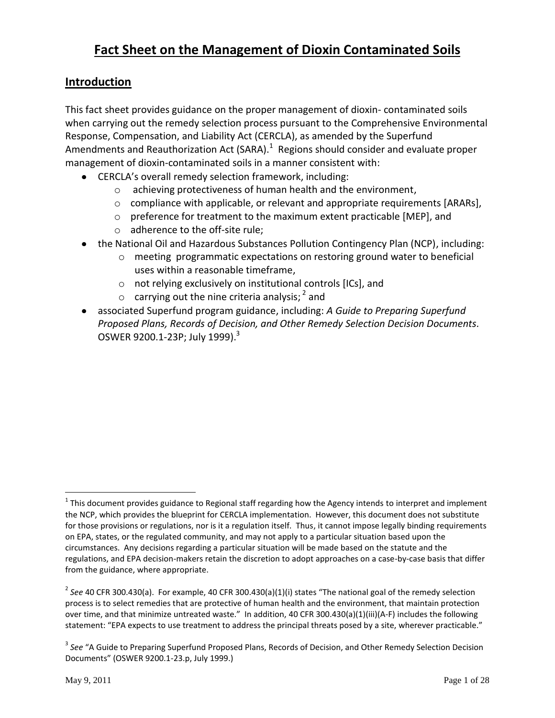# **Fact Sheet on the Management of Dioxin Contaminated Soils**

## **Introduction**

This fact sheet provides guidance on the proper management of dioxin- contaminated soils when carrying out the remedy selection process pursuant to the Comprehensive Environmental Response, Compensation, and Liability Act (CERCLA), as amended by the Superfund Amendments and Reauthorization Act (SARA). $^{1}$  Regions should consider and evaluate proper management of dioxin-contaminated soils in a manner consistent with:

- CERCLA's overall remedy selection framework, including:
	- o achieving protectiveness of human health and the environment,
	- o compliance with applicable, or relevant and appropriate requirements [ARARs],
	- o preference for treatment to the maximum extent practicable [MEP], and
	- o adherence to the off-site rule;
- the National Oil and Hazardous Substances Pollution Contingency Plan (NCP), including:
	- o meeting programmatic expectations on restoring ground water to beneficial uses within a reasonable timeframe,
	- o not relying exclusively on institutional controls [ICs], and
	- $\circ$  carrying out the nine criteria analysis;<sup>2</sup> and
- associated Superfund program guidance, including: *A Guide to Preparing Superfund Proposed Plans, Records of Decision, and Other Remedy Selection Decision Documents.*  OSWER 9200.1-23P; July 1999). $^3$

 $1$  This document provides guidance to Regional staff regarding how the Agency intends to interpret and implement the NCP, which provides the blueprint for CERCLA implementation. However, this document does not substitute for those provisions or regulations, nor is it a regulation itself. Thus, it cannot impose legally binding requirements on EPA, states, or the regulated community, and may not apply to a particular situation based upon the circumstances. Any decisions regarding a particular situation will be made based on the statute and the regulations, and EPA decision-makers retain the discretion to adopt approaches on a case-by-case basis that differ from the guidance, where appropriate.

<sup>2</sup> *See* 40 CFR 300.430(a). For example, 40 CFR 300.430(a)(1)(i) states "The national goal of the remedy selection process is to select remedies that are protective of human health and the environment, that maintain protection over time, and that minimize untreated waste." In addition, 40 CFR 300.430(a)(1)(iii)(A-F) includes the following statement: "EPA expects to use treatment to address the principal threats posed by a site, wherever practicable."

<sup>&</sup>lt;sup>3</sup> See "A Guide to Preparing Superfund Proposed Plans, Records of Decision, and Other Remedy Selection Decision Documents" (OSWER 9200.1-23.p, July 1999.)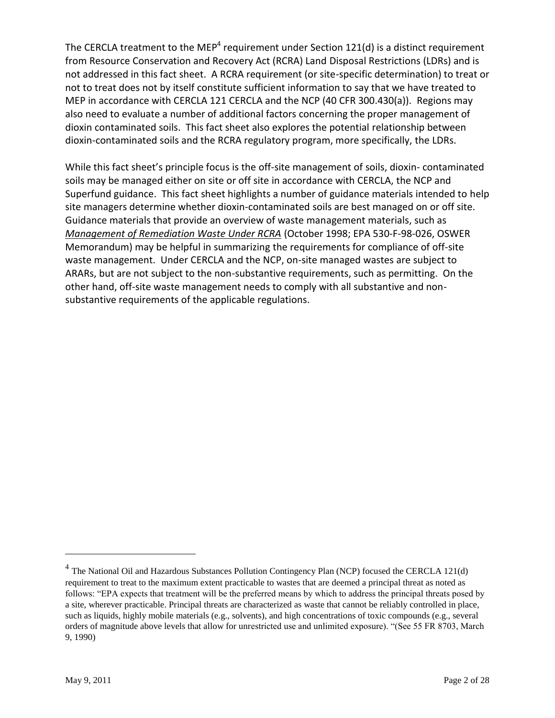The CERCLA treatment to the MEP<sup>4</sup> requirement under Section 121(d) is a distinct requirement from Resource Conservation and Recovery Act (RCRA) Land Disposal Restrictions (LDRs) and is not addressed in this fact sheet. A RCRA requirement (or site-specific determination) to treat or not to treat does not by itself constitute sufficient information to say that we have treated to MEP in accordance with CERCLA 121 CERCLA and the NCP (40 CFR 300.430(a)). Regions may also need to evaluate a number of additional factors concerning the proper management of dioxin contaminated soils. This fact sheet also explores the potential relationship between dioxin-contaminated soils and the RCRA regulatory program, more specifically, the LDRs.

While this fact sheet's principle focus is the off-site management of soils, dioxin- contaminated soils may be managed either on site or off site in accordance with CERCLA, the NCP and Superfund guidance. This fact sheet highlights a number of guidance materials intended to help site managers determine whether dioxin-contaminated soils are best managed on or off site. Guidance materials that provide an overview of waste management materials, such as *[Management of Remediation Waste Under RCRA](http://www.epa.gov/osw/hazard/correctiveaction/resources/guidance/remwaste/pspd_mem.pdf)* (October 1998; EPA 530-F-98-026, OSWER Memorandum) may be helpful in summarizing the requirements for compliance of off-site waste management. Under CERCLA and the NCP, on-site managed wastes are subject to ARARs, but are not subject to the non-substantive requirements, such as permitting. On the other hand, off-site waste management needs to comply with all substantive and nonsubstantive requirements of the applicable regulations.

 $4$  The National Oil and Hazardous Substances Pollution Contingency Plan (NCP) focused the CERCLA 121(d) requirement to treat to the maximum extent practicable to wastes that are deemed a principal threat as noted as follows: "EPA expects that treatment will be the preferred means by which to address the principal threats posed by a site, wherever practicable. Principal threats are characterized as waste that cannot be reliably controlled in place, such as liquids, highly mobile materials (e.g., solvents), and high concentrations of toxic compounds (e.g., several orders of magnitude above levels that allow for unrestricted use and unlimited exposure). "(See 55 FR 8703, March 9, 1990)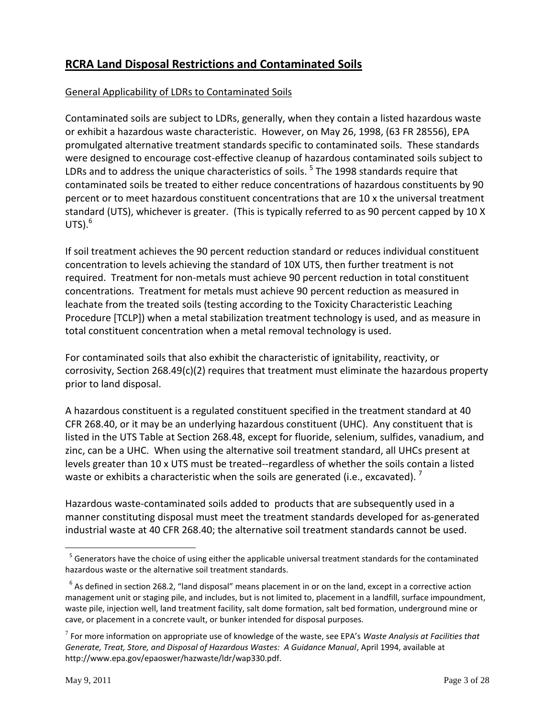# **RCRA Land Disposal Restrictions and Contaminated Soils**

## General Applicability of LDRs to Contaminated Soils

Contaminated soils are subject to LDRs, generally, when they contain a listed hazardous waste or exhibit a hazardous waste characteristic. However, on May 26, 1998, (63 FR 28556), EPA promulgated alternative treatment standards specific to contaminated soils. These standards were designed to encourage cost-effective cleanup of hazardous contaminated soils subject to LDRs and to address the unique characteristics of soils. <sup>5</sup> The 1998 standards require that contaminated soils be treated to either reduce concentrations of hazardous constituents by 90 percent or to meet hazardous constituent concentrations that are 10 x the universal treatment standard (UTS), whichever is greater. (This is typically referred to as 90 percent capped by 10 X UTS). 6

If soil treatment achieves the 90 percent reduction standard or reduces individual constituent concentration to levels achieving the standard of 10X UTS, then further treatment is not required. Treatment for non-metals must achieve 90 percent reduction in total constituent concentrations. Treatment for metals must achieve 90 percent reduction as measured in leachate from the treated soils (testing according to the Toxicity Characteristic Leaching Procedure [TCLP]) when a metal stabilization treatment technology is used, and as measure in total constituent concentration when a metal removal technology is used.

For contaminated soils that also exhibit the characteristic of ignitability, reactivity, or corrosivity, Section 268.49(c)(2) requires that treatment must eliminate the hazardous property prior to land disposal.

A hazardous constituent is a regulated constituent specified in the treatment standard at 40 CFR 268.40, or it may be an underlying hazardous constituent (UHC). Any constituent that is listed in the UTS Table at Section 268.48, except for fluoride, selenium, sulfides, vanadium, and zinc, can be a UHC. When using the alternative soil treatment standard, all UHCs present at levels greater than 10 x UTS must be treated--regardless of whether the soils contain a listed waste or exhibits a characteristic when the soils are generated (i.e., excavated).  $^7$ 

Hazardous waste-contaminated soils added to products that are subsequently used in a manner constituting disposal must meet the treatment standards developed for as-generated industrial waste at 40 CFR 268.40; the alternative soil treatment standards cannot be used.

<sup>&</sup>lt;sup>5</sup> Generators have the choice of using either the applicable universal treatment standards for the contaminated hazardous waste or the alternative soil treatment standards.

 $<sup>6</sup>$  As defined in section 268.2, "land disposal" means placement in or on the land, except in a corrective action</sup> management unit or staging pile, and includes, but is not limited to, placement in a landfill, surface impoundment, waste pile, injection well, land treatment facility, salt dome formation, salt bed formation, underground mine or cave, or placement in a concrete vault, or bunker intended for disposal purposes.

<sup>7</sup> For more information on appropriate use of knowledge of the waste, see EPA's *Waste Analysis at Facilities that Generate, Treat, Store, and Disposal of Hazardous Wastes: A Guidance Manual*, April 1994, available at http://www.epa.gov/epaoswer/hazwaste/ldr/wap330.pdf.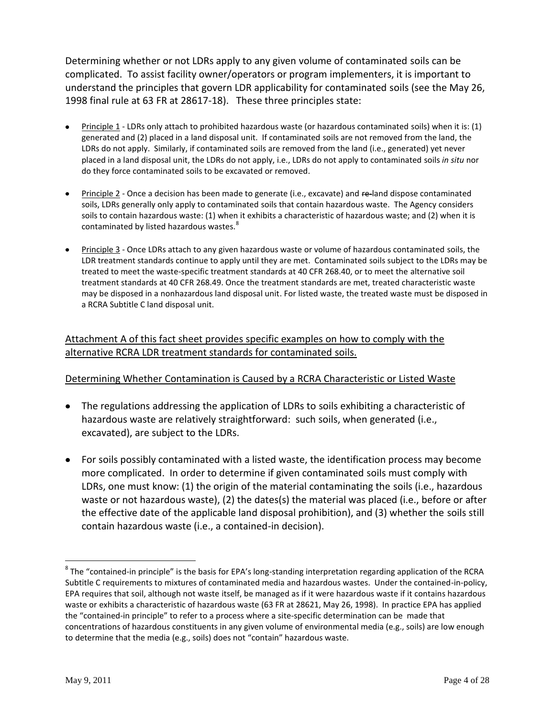Determining whether or not LDRs apply to any given volume of contaminated soils can be complicated. To assist facility owner/operators or program implementers, it is important to understand the principles that govern LDR applicability for contaminated soils (see the May 26, 1998 final rule at 63 FR at 28617-18). These three principles state:

- Principle 1 LDRs only attach to prohibited hazardous waste (or hazardous contaminated soils) when it is: (1) generated and (2) placed in a land disposal unit. If contaminated soils are not removed from the land, the LDRs do not apply. Similarly, if contaminated soils are removed from the land (i.e., generated) yet never placed in a land disposal unit, the LDRs do not apply, i.e., LDRs do not apply to contaminated soils *in situ* nor do they force contaminated soils to be excavated or removed.
- Principle 2 Once a decision has been made to generate (i.e., excavate) and re-land dispose contaminated soils, LDRs generally only apply to contaminated soils that contain hazardous waste. The Agency considers soils to contain hazardous waste: (1) when it exhibits a characteristic of hazardous waste; and (2) when it is contaminated by listed hazardous wastes.<sup>8</sup>
- Principle 3 Once LDRs attach to any given hazardous waste or volume of hazardous contaminated soils, the LDR treatment standards continue to apply until they are met. Contaminated soils subject to the LDRs may be treated to meet the waste-specific treatment standards at 40 CFR 268.40, or to meet the alternative soil treatment standards at 40 CFR 268.49. Once the treatment standards are met, treated characteristic waste may be disposed in a nonhazardous land disposal unit. For listed waste, the treated waste must be disposed in a RCRA Subtitle C land disposal unit.

## Attachment A of this fact sheet provides specific examples on how to comply with the alternative RCRA LDR treatment standards for contaminated soils.

### Determining Whether Contamination is Caused by a RCRA Characteristic or Listed Waste

- The regulations addressing the application of LDRs to soils exhibiting a characteristic of hazardous waste are relatively straightforward: such soils, when generated (i.e., excavated), are subject to the LDRs.
- For soils possibly contaminated with a listed waste, the identification process may become more complicated. In order to determine if given contaminated soils must comply with LDRs, one must know: (1) the origin of the material contaminating the soils (i.e., hazardous waste or not hazardous waste), (2) the dates(s) the material was placed (i.e., before or after the effective date of the applicable land disposal prohibition), and (3) whether the soils still contain hazardous waste (i.e., a contained-in decision).

 $^8$  The "contained-in principle" is the basis for EPA's long-standing interpretation regarding application of the RCRA Subtitle C requirements to mixtures of contaminated media and hazardous wastes. Under the contained-in-policy, EPA requires that soil, although not waste itself, be managed as if it were hazardous waste if it contains hazardous waste or exhibits a characteristic of hazardous waste (63 FR at 28621, May 26, 1998). In practice EPA has applied the "contained-in principle" to refer to a process where a site-specific determination can be made that concentrations of hazardous constituents in any given volume of environmental media (e.g., soils) are low enough to determine that the media (e.g., soils) does not "contain" hazardous waste.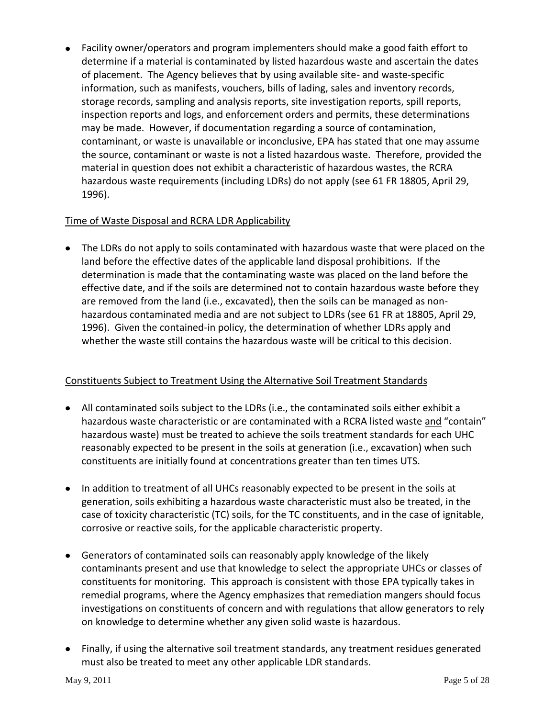Facility owner/operators and program implementers should make a good faith effort to determine if a material is contaminated by listed hazardous waste and ascertain the dates of placement. The Agency believes that by using available site- and waste-specific information, such as manifests, vouchers, bills of lading, sales and inventory records, storage records, sampling and analysis reports, site investigation reports, spill reports, inspection reports and logs, and enforcement orders and permits, these determinations may be made. However, if documentation regarding a source of contamination, contaminant, or waste is unavailable or inconclusive, EPA has stated that one may assume the source, contaminant or waste is not a listed hazardous waste. Therefore, provided the material in question does not exhibit a characteristic of hazardous wastes, the RCRA hazardous waste requirements (including LDRs) do not apply (see 61 FR 18805, April 29, 1996).

### Time of Waste Disposal and RCRA LDR Applicability

• The LDRs do not apply to soils contaminated with hazardous waste that were placed on the land before the effective dates of the applicable land disposal prohibitions. If the determination is made that the contaminating waste was placed on the land before the effective date, and if the soils are determined not to contain hazardous waste before they are removed from the land (i.e., excavated), then the soils can be managed as nonhazardous contaminated media and are not subject to LDRs (see 61 FR at 18805, April 29, 1996). Given the contained-in policy, the determination of whether LDRs apply and whether the waste still contains the hazardous waste will be critical to this decision.

## Constituents Subject to Treatment Using the Alternative Soil Treatment Standards

- All contaminated soils subject to the LDRs (i.e., the contaminated soils either exhibit a hazardous waste characteristic or are contaminated with a RCRA listed waste and "contain" hazardous waste) must be treated to achieve the soils treatment standards for each UHC reasonably expected to be present in the soils at generation (i.e., excavation) when such constituents are initially found at concentrations greater than ten times UTS.
- In addition to treatment of all UHCs reasonably expected to be present in the soils at generation, soils exhibiting a hazardous waste characteristic must also be treated, in the case of toxicity characteristic (TC) soils, for the TC constituents, and in the case of ignitable, corrosive or reactive soils, for the applicable characteristic property.
- Generators of contaminated soils can reasonably apply knowledge of the likely contaminants present and use that knowledge to select the appropriate UHCs or classes of constituents for monitoring. This approach is consistent with those EPA typically takes in remedial programs, where the Agency emphasizes that remediation mangers should focus investigations on constituents of concern and with regulations that allow generators to rely on knowledge to determine whether any given solid waste is hazardous.
- Finally, if using the alternative soil treatment standards, any treatment residues generated must also be treated to meet any other applicable LDR standards.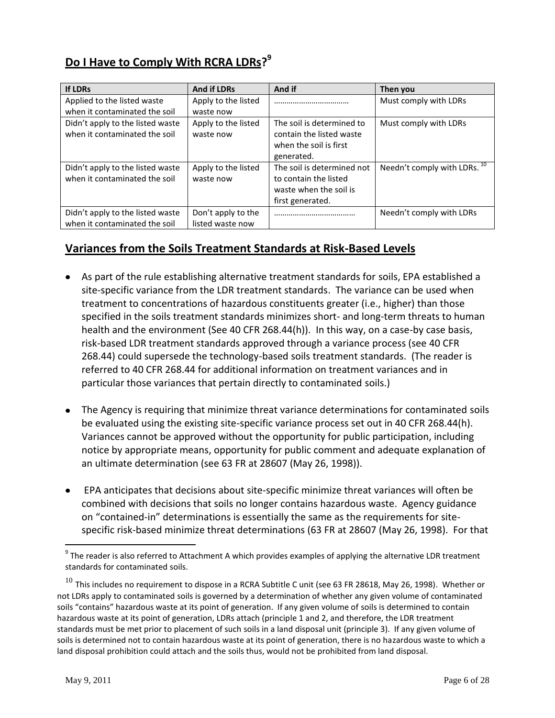# **Do I Have to Comply With RCRA LDRs? 9**

| <b>If LDRs</b>                                                    | <b>And if LDRs</b>                     | And if                                                                                            | Then you                     |
|-------------------------------------------------------------------|----------------------------------------|---------------------------------------------------------------------------------------------------|------------------------------|
| Applied to the listed waste                                       | Apply to the listed                    |                                                                                                   | Must comply with LDRs        |
| when it contaminated the soil                                     | waste now                              |                                                                                                   |                              |
| Didn't apply to the listed waste<br>when it contaminated the soil | Apply to the listed<br>waste now       | The soil is determined to<br>contain the listed waste<br>when the soil is first<br>generated.     | Must comply with LDRs        |
| Didn't apply to the listed waste<br>when it contaminated the soil | Apply to the listed<br>waste now       | The soil is determined not<br>to contain the listed<br>waste when the soil is<br>first generated. | Needn't comply with LDRs. 10 |
| Didn't apply to the listed waste<br>when it contaminated the soil | Don't apply to the<br>listed waste now |                                                                                                   | Needn't comply with LDRs     |

# **Variances from the Soils Treatment Standards at Risk-Based Levels**

- As part of the rule establishing alternative treatment standards for soils, EPA established a site-specific variance from the LDR treatment standards. The variance can be used when treatment to concentrations of hazardous constituents greater (i.e., higher) than those specified in the soils treatment standards minimizes short- and long-term threats to human health and the environment (See 40 CFR 268.44(h)). In this way, on a case-by case basis, risk-based LDR treatment standards approved through a variance process (see 40 CFR 268.44) could supersede the technology-based soils treatment standards. (The reader is referred to 40 CFR 268.44 for additional information on treatment variances and in particular those variances that pertain directly to contaminated soils.)
- The Agency is requiring that minimize threat variance determinations for contaminated soils be evaluated using the existing site-specific variance process set out in 40 CFR 268.44(h). Variances cannot be approved without the opportunity for public participation, including notice by appropriate means, opportunity for public comment and adequate explanation of an ultimate determination (see 63 FR at 28607 (May 26, 1998)).
- EPA anticipates that decisions about site-specific minimize threat variances will often be combined with decisions that soils no longer contains hazardous waste. Agency guidance on "contained-in" determinations is essentially the same as the requirements for sitespecific risk-based minimize threat determinations (63 FR at 28607 (May 26, 1998). For that

 $9$  The reader is also referred to Attachment A which provides examples of applying the alternative LDR treatment standards for contaminated soils.

 $^{10}$  This includes no requirement to dispose in a RCRA Subtitle C unit (see 63 FR 28618, May 26, 1998). Whether or not LDRs apply to contaminated soils is governed by a determination of whether any given volume of contaminated soils "contains" hazardous waste at its point of generation. If any given volume of soils is determined to contain hazardous waste at its point of generation, LDRs attach (principle 1 and 2, and therefore, the LDR treatment standards must be met prior to placement of such soils in a land disposal unit (principle 3). If any given volume of soils is determined not to contain hazardous waste at its point of generation, there is no hazardous waste to which a land disposal prohibition could attach and the soils thus, would not be prohibited from land disposal.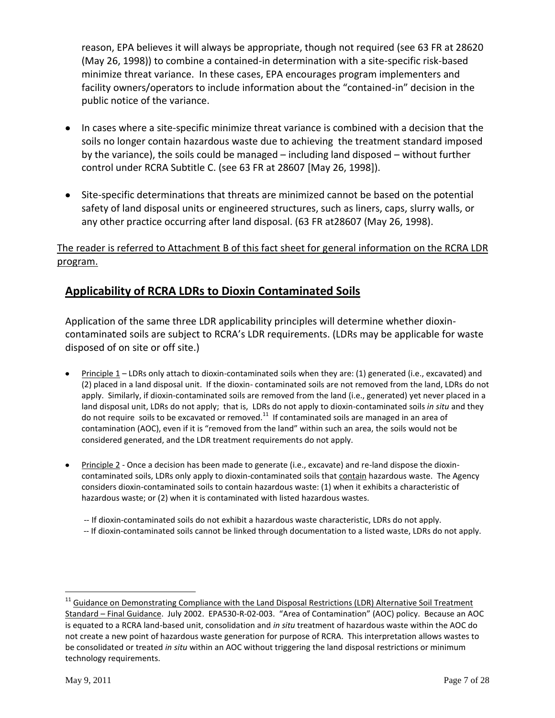reason, EPA believes it will always be appropriate, though not required (see 63 FR at 28620 (May 26, 1998)) to combine a contained-in determination with a site-specific risk-based minimize threat variance. In these cases, EPA encourages program implementers and facility owners/operators to include information about the "contained-in" decision in the public notice of the variance.

- In cases where a site-specific minimize threat variance is combined with a decision that the soils no longer contain hazardous waste due to achieving the treatment standard imposed by the variance), the soils could be managed – including land disposed – without further control under RCRA Subtitle C. (see 63 FR at 28607 [May 26, 1998]).
- Site-specific determinations that threats are minimized cannot be based on the potential safety of land disposal units or engineered structures, such as liners, caps, slurry walls, or any other practice occurring after land disposal. (63 FR at28607 (May 26, 1998).

The reader is referred to Attachment B of this fact sheet for general information on the RCRA LDR program.

# **Applicability of RCRA LDRs to Dioxin Contaminated Soils**

Application of the same three LDR applicability principles will determine whether dioxincontaminated soils are subject to RCRA's LDR requirements. (LDRs may be applicable for waste disposed of on site or off site.)

- Principle 1 LDRs only attach to dioxin-contaminated soils when they are: (1) generated (i.e., excavated) and (2) placed in a land disposal unit. If the dioxin- contaminated soils are not removed from the land, LDRs do not apply. Similarly, if dioxin-contaminated soils are removed from the land (i.e., generated) yet never placed in a land disposal unit, LDRs do not apply; that is, LDRs do not apply to dioxin-contaminated soils *in situ* and they do not require soils to be excavated or removed.<sup>11</sup> If contaminated soils are managed in an area of contamination (AOC), even if it is "removed from the land" within such an area, the soils would not be considered generated, and the LDR treatment requirements do not apply.
- Principle 2 Once a decision has been made to generate (i.e., excavate) and re-land dispose the dioxincontaminated soils, LDRs only apply to dioxin-contaminated soils that contain hazardous waste. The Agency considers dioxin-contaminated soils to contain hazardous waste: (1) when it exhibits a characteristic of hazardous waste; or (2) when it is contaminated with listed hazardous wastes.
	- -- If dioxin-contaminated soils do not exhibit a hazardous waste characteristic, LDRs do not apply.
	- -- If dioxin-contaminated soils cannot be linked through documentation to a listed waste, LDRs do not apply.

<sup>&</sup>lt;sup>11</sup> Guidance on Demonstrating Compliance with the Land Disposal Restrictions (LDR) Alternative Soil Treatment Standard – Final Guidance. July 2002. EPA530-R-02-003. "Area of Contamination" (AOC) policy. Because an AOC is equated to a RCRA land-based unit, consolidation and *in situ* treatment of hazardous waste within the AOC do not create a new point of hazardous waste generation for purpose of RCRA. This interpretation allows wastes to be consolidated or treated *in situ* within an AOC without triggering the land disposal restrictions or minimum technology requirements.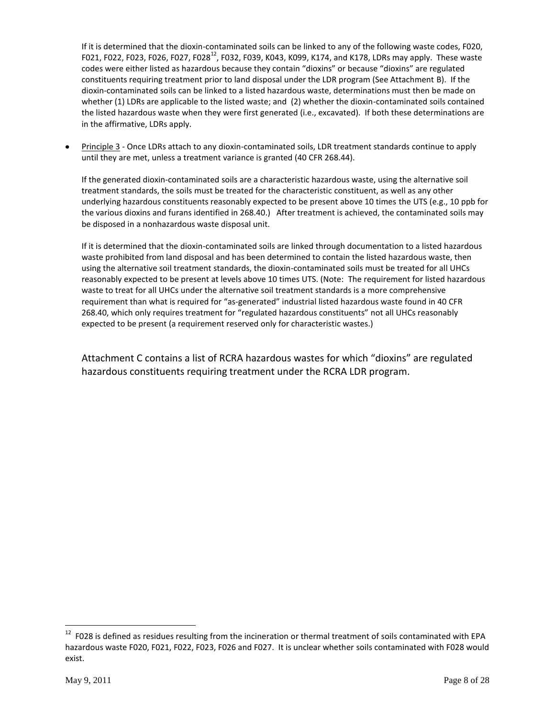If it is determined that the dioxin-contaminated soils can be linked to any of the following waste codes, F020, F021, F022, F023, F026, F027, F028<sup>12</sup>, F032, F039, K043, K099, K174, and K178, LDRs may apply. These waste codes were either listed as hazardous because they contain "dioxins" or because "dioxins" are regulated constituents requiring treatment prior to land disposal under the LDR program (See Attachment B). If the dioxin-contaminated soils can be linked to a listed hazardous waste, determinations must then be made on whether (1) LDRs are applicable to the listed waste; and (2) whether the dioxin-contaminated soils contained the listed hazardous waste when they were first generated (i.e., excavated). If both these determinations are in the affirmative, LDRs apply.

Principle 3 - Once LDRs attach to any dioxin-contaminated soils, LDR treatment standards continue to apply until they are met, unless a treatment variance is granted (40 CFR 268.44).

If the generated dioxin-contaminated soils are a characteristic hazardous waste, using the alternative soil treatment standards, the soils must be treated for the characteristic constituent, as well as any other underlying hazardous constituents reasonably expected to be present above 10 times the UTS (e.g., 10 ppb for the various dioxins and furans identified in 268.40.) After treatment is achieved, the contaminated soils may be disposed in a nonhazardous waste disposal unit.

If it is determined that the dioxin-contaminated soils are linked through documentation to a listed hazardous waste prohibited from land disposal and has been determined to contain the listed hazardous waste, then using the alternative soil treatment standards, the dioxin-contaminated soils must be treated for all UHCs reasonably expected to be present at levels above 10 times UTS. (Note: The requirement for listed hazardous waste to treat for all UHCs under the alternative soil treatment standards is a more comprehensive requirement than what is required for "as-generated" industrial listed hazardous waste found in 40 CFR 268.40, which only requires treatment for "regulated hazardous constituents" not all UHCs reasonably expected to be present (a requirement reserved only for characteristic wastes.)

Attachment C contains a list of RCRA hazardous wastes for which "dioxins" are regulated hazardous constituents requiring treatment under the RCRA LDR program.

 $12$  F028 is defined as residues resulting from the incineration or thermal treatment of soils contaminated with EPA hazardous waste F020, F021, F022, F023, F026 and F027. It is unclear whether soils contaminated with F028 would exist.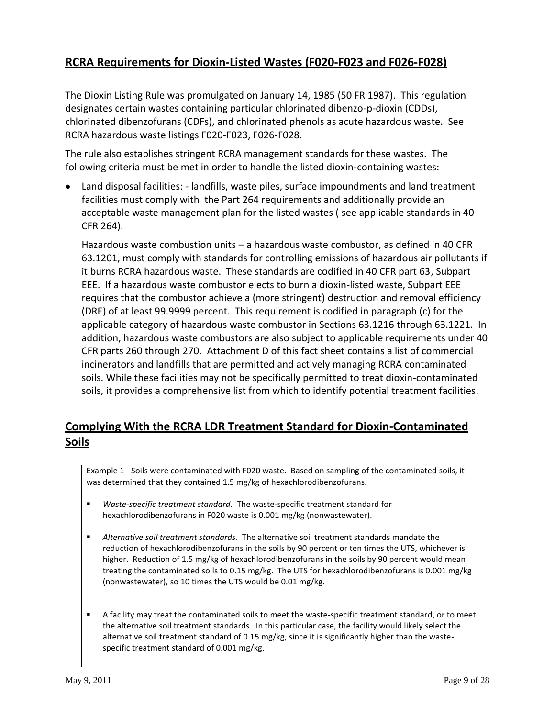# **RCRA Requirements for Dioxin-Listed Wastes (F020-F023 and F026-F028)**

The Dioxin Listing Rule was promulgated on January 14, 1985 (50 FR 1987). This regulation designates certain wastes containing particular chlorinated dibenzo-p-dioxin (CDDs), chlorinated dibenzofurans (CDFs), and chlorinated phenols as acute hazardous waste. See RCRA hazardous waste listings F020-F023, F026-F028.

The rule also establishes stringent RCRA management standards for these wastes. The following criteria must be met in order to handle the listed dioxin-containing wastes:

Land disposal facilities: - landfills, waste piles, surface impoundments and land treatment facilities must comply with the Part 264 requirements and additionally provide an acceptable waste management plan for the listed wastes ( see applicable standards in 40 CFR 264).

Hazardous waste combustion units – a hazardous waste combustor, as defined in 40 CFR 63.1201, must comply with standards for controlling emissions of hazardous air pollutants if it burns RCRA hazardous waste. These standards are codified in 40 CFR part 63, Subpart EEE. If a hazardous waste combustor elects to burn a dioxin-listed waste, Subpart EEE requires that the combustor achieve a (more stringent) destruction and removal efficiency (DRE) of at least 99.9999 percent. This requirement is codified in paragraph (c) for the applicable category of hazardous waste combustor in Sections 63.1216 through 63.1221. In addition, hazardous waste combustors are also subject to applicable requirements under 40 CFR parts 260 through 270. Attachment D of this fact sheet contains a list of commercial incinerators and landfills that are permitted and actively managing RCRA contaminated soils. While these facilities may not be specifically permitted to treat dioxin-contaminated soils, it provides a comprehensive list from which to identify potential treatment facilities.

# **Complying With the RCRA LDR Treatment Standard for Dioxin-Contaminated Soils**

Example 1 - Soils were contaminated with F020 waste. Based on sampling of the contaminated soils, it was determined that they contained 1.5 mg/kg of hexachlorodibenzofurans.

- *Waste-specific treatment standard.* The waste-specific treatment standard for hexachlorodibenzofurans in F020 waste is 0.001 mg/kg (nonwastewater).
- *Alternative soil treatment standards.* The alternative soil treatment standards mandate the reduction of hexachlorodibenzofurans in the soils by 90 percent or ten times the UTS, whichever is higher. Reduction of 1.5 mg/kg of hexachlorodibenzofurans in the soils by 90 percent would mean treating the contaminated soils to 0.15 mg/kg. The UTS for hexachlorodibenzofurans is 0.001 mg/kg (nonwastewater), so 10 times the UTS would be 0.01 mg/kg.
- A facility may treat the contaminated soils to meet the waste-specific treatment standard, or to meet the alternative soil treatment standards. In this particular case, the facility would likely select the alternative soil treatment standard of 0.15 mg/kg, since it is significantly higher than the wastespecific treatment standard of 0.001 mg/kg.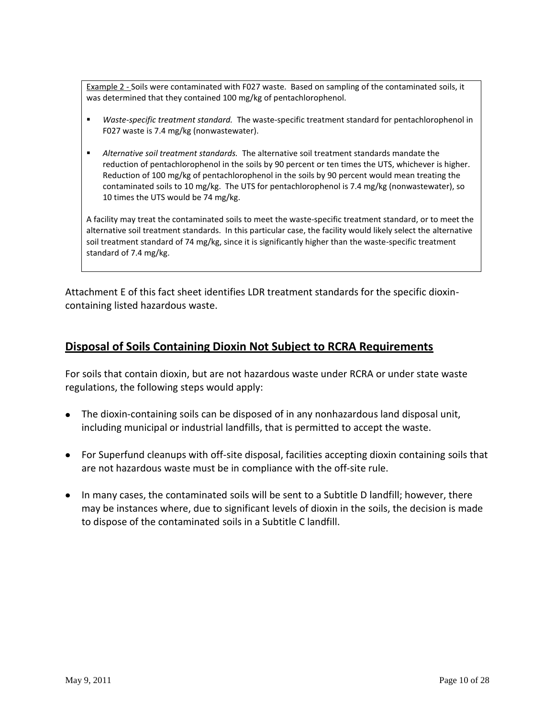Example 2 - Soils were contaminated with F027 waste. Based on sampling of the contaminated soils, it was determined that they contained 100 mg/kg of pentachlorophenol.

- *Waste-specific treatment standard.* The waste-specific treatment standard for pentachlorophenol in F027 waste is 7.4 mg/kg (nonwastewater).
- *Alternative soil treatment standards.* The alternative soil treatment standards mandate the reduction of pentachlorophenol in the soils by 90 percent or ten times the UTS, whichever is higher. Reduction of 100 mg/kg of pentachlorophenol in the soils by 90 percent would mean treating the contaminated soils to 10 mg/kg. The UTS for pentachlorophenol is 7.4 mg/kg (nonwastewater), so 10 times the UTS would be 74 mg/kg.

A facility may treat the contaminated soils to meet the waste-specific treatment standard, or to meet the alternative soil treatment standards. In this particular case, the facility would likely select the alternative soil treatment standard of 74 mg/kg, since it is significantly higher than the waste-specific treatment standard of 7.4 mg/kg.

Attachment E of this fact sheet identifies LDR treatment standards for the specific dioxincontaining listed hazardous waste.

# **Disposal of Soils Containing Dioxin Not Subject to RCRA Requirements**

For soils that contain dioxin, but are not hazardous waste under RCRA or under state waste regulations, the following steps would apply:

- The dioxin-containing soils can be disposed of in any nonhazardous land disposal unit, including municipal or industrial landfills, that is permitted to accept the waste.
- For Superfund cleanups with off-site disposal, facilities accepting dioxin containing soils that are not hazardous waste must be in compliance with the off-site rule.
- In many cases, the contaminated soils will be sent to a Subtitle D landfill; however, there may be instances where, due to significant levels of dioxin in the soils, the decision is made to dispose of the contaminated soils in a Subtitle C landfill.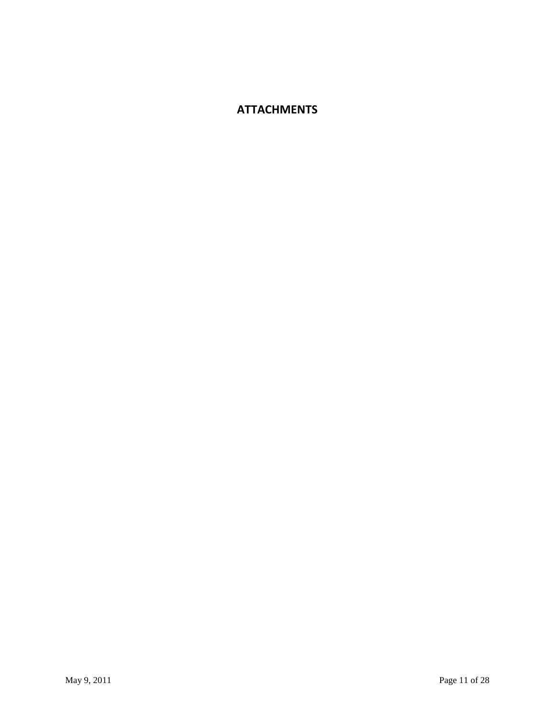# **ATTACHMENTS**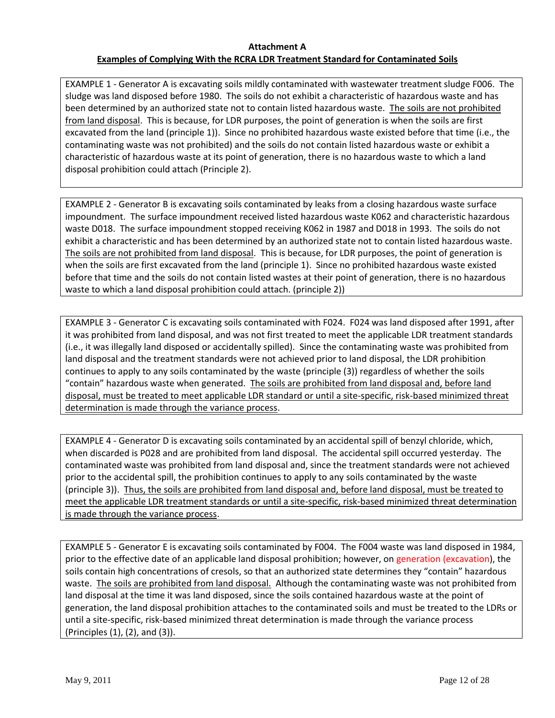### **Attachment A Examples of Complying With the RCRA LDR Treatment Standard for Contaminated Soils**

EXAMPLE 1 - Generator A is excavating soils mildly contaminated with wastewater treatment sludge F006. The sludge was land disposed before 1980. The soils do not exhibit a characteristic of hazardous waste and has been determined by an authorized state not to contain listed hazardous waste. The soils are not prohibited from land disposal. This is because, for LDR purposes, the point of generation is when the soils are first excavated from the land (principle 1)). Since no prohibited hazardous waste existed before that time (i.e., the contaminating waste was not prohibited) and the soils do not contain listed hazardous waste or exhibit a characteristic of hazardous waste at its point of generation, there is no hazardous waste to which a land disposal prohibition could attach (Principle 2).

EXAMPLE 2 - Generator B is excavating soils contaminated by leaks from a closing hazardous waste surface impoundment. The surface impoundment received listed hazardous waste K062 and characteristic hazardous waste D018. The surface impoundment stopped receiving K062 in 1987 and D018 in 1993. The soils do not exhibit a characteristic and has been determined by an authorized state not to contain listed hazardous waste. The soils are not prohibited from land disposal. This is because, for LDR purposes, the point of generation is when the soils are first excavated from the land (principle 1). Since no prohibited hazardous waste existed before that time and the soils do not contain listed wastes at their point of generation, there is no hazardous waste to which a land disposal prohibition could attach. (principle 2))

EXAMPLE 3 - Generator C is excavating soils contaminated with F024. F024 was land disposed after 1991, after it was prohibited from land disposal, and was not first treated to meet the applicable LDR treatment standards (i.e., it was illegally land disposed or accidentally spilled). Since the contaminating waste was prohibited from land disposal and the treatment standards were not achieved prior to land disposal, the LDR prohibition continues to apply to any soils contaminated by the waste (principle (3)) regardless of whether the soils "contain" hazardous waste when generated. The soils are prohibited from land disposal and, before land disposal, must be treated to meet applicable LDR standard or until a site-specific, risk-based minimized threat determination is made through the variance process.

EXAMPLE 4 - Generator D is excavating soils contaminated by an accidental spill of benzyl chloride, which, when discarded is P028 and are prohibited from land disposal. The accidental spill occurred yesterday. The contaminated waste was prohibited from land disposal and, since the treatment standards were not achieved prior to the accidental spill, the prohibition continues to apply to any soils contaminated by the waste (principle 3)). Thus, the soils are prohibited from land disposal and, before land disposal, must be treated to meet the applicable LDR treatment standards or until a site-specific, risk-based minimized threat determination is made through the variance process.

EXAMPLE 5 - Generator E is excavating soils contaminated by F004. The F004 waste was land disposed in 1984, prior to the effective date of an applicable land disposal prohibition; however, on generation (excavation), the soils contain high concentrations of cresols, so that an authorized state determines they "contain" hazardous waste. The soils are prohibited from land disposal. Although the contaminating waste was not prohibited from land disposal at the time it was land disposed, since the soils contained hazardous waste at the point of generation, the land disposal prohibition attaches to the contaminated soils and must be treated to the LDRs or until a site-specific, risk-based minimized threat determination is made through the variance process (Principles (1), (2), and (3)).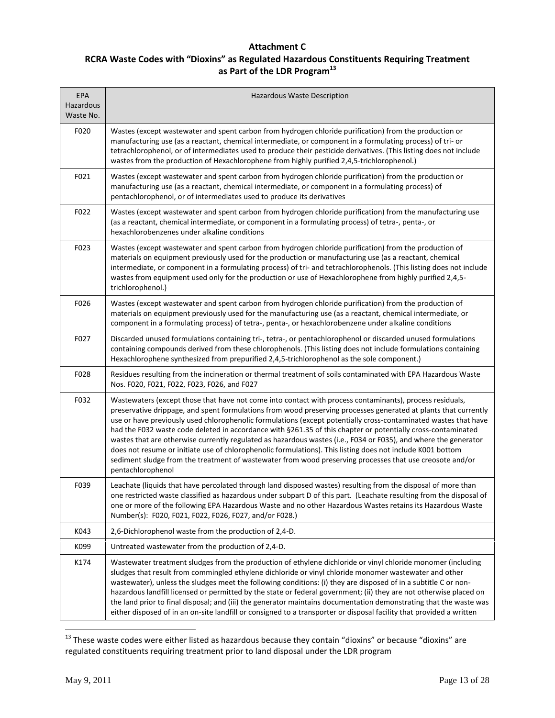### **Attachment C RCRA Waste Codes with "Dioxins" as Regulated Hazardous Constituents Requiring Treatment as Part of the LDR Program<sup>13</sup>**

| EPA<br>Hazardous<br>Waste No. | Hazardous Waste Description                                                                                                                                                                                                                                                                                                                                                                                                                                                                                                                                                                                                                                                                                                                                                                                                      |
|-------------------------------|----------------------------------------------------------------------------------------------------------------------------------------------------------------------------------------------------------------------------------------------------------------------------------------------------------------------------------------------------------------------------------------------------------------------------------------------------------------------------------------------------------------------------------------------------------------------------------------------------------------------------------------------------------------------------------------------------------------------------------------------------------------------------------------------------------------------------------|
| F020                          | Wastes (except wastewater and spent carbon from hydrogen chloride purification) from the production or<br>manufacturing use (as a reactant, chemical intermediate, or component in a formulating process) of tri- or<br>tetrachlorophenol, or of intermediates used to produce their pesticide derivatives. (This listing does not include<br>wastes from the production of Hexachlorophene from highly purified 2,4,5-trichlorophenol.)                                                                                                                                                                                                                                                                                                                                                                                         |
| F021                          | Wastes (except wastewater and spent carbon from hydrogen chloride purification) from the production or<br>manufacturing use (as a reactant, chemical intermediate, or component in a formulating process) of<br>pentachlorophenol, or of intermediates used to produce its derivatives                                                                                                                                                                                                                                                                                                                                                                                                                                                                                                                                           |
| F022                          | Wastes (except wastewater and spent carbon from hydrogen chloride purification) from the manufacturing use<br>(as a reactant, chemical intermediate, or component in a formulating process) of tetra-, penta-, or<br>hexachlorobenzenes under alkaline conditions                                                                                                                                                                                                                                                                                                                                                                                                                                                                                                                                                                |
| F023                          | Wastes (except wastewater and spent carbon from hydrogen chloride purification) from the production of<br>materials on equipment previously used for the production or manufacturing use (as a reactant, chemical<br>intermediate, or component in a formulating process) of tri- and tetrachlorophenols. (This listing does not include<br>wastes from equipment used only for the production or use of Hexachlorophene from highly purified 2,4,5-<br>trichlorophenol.)                                                                                                                                                                                                                                                                                                                                                        |
| F026                          | Wastes (except wastewater and spent carbon from hydrogen chloride purification) from the production of<br>materials on equipment previously used for the manufacturing use (as a reactant, chemical intermediate, or<br>component in a formulating process) of tetra-, penta-, or hexachlorobenzene under alkaline conditions                                                                                                                                                                                                                                                                                                                                                                                                                                                                                                    |
| F027                          | Discarded unused formulations containing tri-, tetra-, or pentachlorophenol or discarded unused formulations<br>containing compounds derived from these chlorophenols. (This listing does not include formulations containing<br>Hexachlorophene synthesized from prepurified 2,4,5-trichlorophenol as the sole component.)                                                                                                                                                                                                                                                                                                                                                                                                                                                                                                      |
| F028                          | Residues resulting from the incineration or thermal treatment of soils contaminated with EPA Hazardous Waste<br>Nos. F020, F021, F022, F023, F026, and F027                                                                                                                                                                                                                                                                                                                                                                                                                                                                                                                                                                                                                                                                      |
| F032                          | Wastewaters (except those that have not come into contact with process contaminants), process residuals,<br>preservative drippage, and spent formulations from wood preserving processes generated at plants that currently<br>use or have previously used chlorophenolic formulations (except potentially cross-contaminated wastes that have<br>had the F032 waste code deleted in accordance with §261.35 of this chapter or potentially cross-contaminated<br>wastes that are otherwise currently regulated as hazardous wastes (i.e., F034 or F035), and where the generator<br>does not resume or initiate use of chlorophenolic formulations). This listing does not include K001 bottom<br>sediment sludge from the treatment of wastewater from wood preserving processes that use creosote and/or<br>pentachlorophenol |
| F039                          | Leachate (liquids that have percolated through land disposed wastes) resulting from the disposal of more than<br>one restricted waste classified as hazardous under subpart D of this part. (Leachate resulting from the disposal of<br>one or more of the following EPA Hazardous Waste and no other Hazardous Wastes retains its Hazardous Waste<br>Number(s): F020, F021, F022, F026, F027, and/or F028.)                                                                                                                                                                                                                                                                                                                                                                                                                     |
| K043                          | 2,6-Dichlorophenol waste from the production of 2,4-D.                                                                                                                                                                                                                                                                                                                                                                                                                                                                                                                                                                                                                                                                                                                                                                           |
| K099                          | Untreated wastewater from the production of 2,4-D.                                                                                                                                                                                                                                                                                                                                                                                                                                                                                                                                                                                                                                                                                                                                                                               |
| K174                          | Wastewater treatment sludges from the production of ethylene dichloride or vinyl chloride monomer (including<br>sludges that result from commingled ethylene dichloride or vinyl chloride monomer wastewater and other<br>wastewater), unless the sludges meet the following conditions: (i) they are disposed of in a subtitle C or non-<br>hazardous landfill licensed or permitted by the state or federal government; (ii) they are not otherwise placed on<br>the land prior to final disposal; and (iii) the generator maintains documentation demonstrating that the waste was<br>either disposed of in an on-site landfill or consigned to a transporter or disposal facility that provided a written                                                                                                                    |

 $^{13}$  These waste codes were either listed as hazardous because they contain "dioxins" or because "dioxins" are regulated constituents requiring treatment prior to land disposal under the LDR program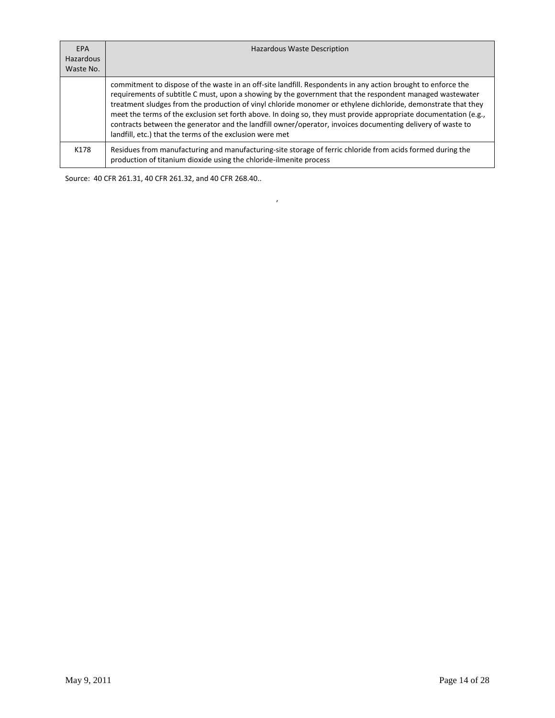| <b>EPA</b><br><b>Hazardous</b><br>Waste No. | <b>Hazardous Waste Description</b>                                                                                                                                                                                                                                                                                                                                                                                                                                                                                                                                                                                                      |
|---------------------------------------------|-----------------------------------------------------------------------------------------------------------------------------------------------------------------------------------------------------------------------------------------------------------------------------------------------------------------------------------------------------------------------------------------------------------------------------------------------------------------------------------------------------------------------------------------------------------------------------------------------------------------------------------------|
|                                             | commitment to dispose of the waste in an off-site landfill. Respondents in any action brought to enforce the<br>requirements of subtitle C must, upon a showing by the government that the respondent managed wastewater<br>treatment sludges from the production of vinyl chloride monomer or ethylene dichloride, demonstrate that they<br>meet the terms of the exclusion set forth above. In doing so, they must provide appropriate documentation (e.g.,<br>contracts between the generator and the landfill owner/operator, invoices documenting delivery of waste to<br>landfill, etc.) that the terms of the exclusion were met |
| K178                                        | Residues from manufacturing and manufacturing-site storage of ferric chloride from acids formed during the<br>production of titanium dioxide using the chloride-ilmenite process                                                                                                                                                                                                                                                                                                                                                                                                                                                        |

 $\overline{\phantom{a}}$ 

Source: 40 CFR 261.31, 40 CFR 261.32, and 40 CFR 268.40..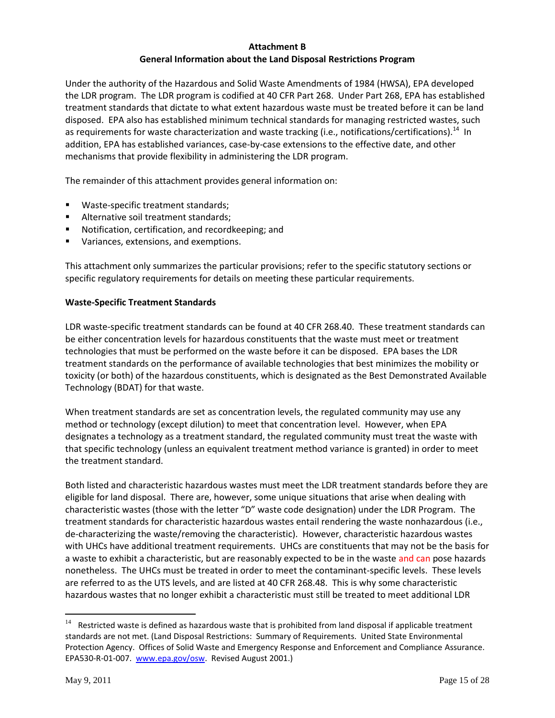### **Attachment B General Information about the Land Disposal Restrictions Program**

Under the authority of the Hazardous and Solid Waste Amendments of 1984 (HWSA), EPA developed the LDR program. The LDR program is codified at 40 CFR Part 268. Under Part 268, EPA has established treatment standards that dictate to what extent hazardous waste must be treated before it can be land disposed. EPA also has established minimum technical standards for managing restricted wastes, such as requirements for waste characterization and waste tracking (i.e., notifications/certifications).<sup>14</sup> In addition, EPA has established variances, case-by-case extensions to the effective date, and other mechanisms that provide flexibility in administering the LDR program.

The remainder of this attachment provides general information on:

- Waste-specific treatment standards;
- Alternative soil treatment standards;
- **Notification, certification, and recordkeeping; and**
- **Variances, extensions, and exemptions.**

This attachment only summarizes the particular provisions; refer to the specific statutory sections or specific regulatory requirements for details on meeting these particular requirements.

#### **Waste-Specific Treatment Standards**

LDR waste-specific treatment standards can be found at 40 CFR 268.40. These treatment standards can be either concentration levels for hazardous constituents that the waste must meet or treatment technologies that must be performed on the waste before it can be disposed. EPA bases the LDR treatment standards on the performance of available technologies that best minimizes the mobility or toxicity (or both) of the hazardous constituents, which is designated as the Best Demonstrated Available Technology (BDAT) for that waste.

When treatment standards are set as concentration levels, the regulated community may use any method or technology (except dilution) to meet that concentration level. However, when EPA designates a technology as a treatment standard, the regulated community must treat the waste with that specific technology (unless an equivalent treatment method variance is granted) in order to meet the treatment standard.

Both listed and characteristic hazardous wastes must meet the LDR treatment standards before they are eligible for land disposal. There are, however, some unique situations that arise when dealing with characteristic wastes (those with the letter "D" waste code designation) under the LDR Program. The treatment standards for characteristic hazardous wastes entail rendering the waste nonhazardous (i.e., de-characterizing the waste/removing the characteristic). However, characteristic hazardous wastes with UHCs have additional treatment requirements. UHCs are constituents that may not be the basis for a waste to exhibit a characteristic, but are reasonably expected to be in the waste and can pose hazards nonetheless. The UHCs must be treated in order to meet the contaminant-specific levels. These levels are referred to as the UTS levels, and are listed at 40 CFR 268.48. This is why some characteristic hazardous wastes that no longer exhibit a characteristic must still be treated to meet additional LDR

 $14$  Restricted waste is defined as hazardous waste that is prohibited from land disposal if applicable treatment standards are not met. (Land Disposal Restrictions: Summary of Requirements. United State Environmental Protection Agency. Offices of Solid Waste and Emergency Response and Enforcement and Compliance Assurance. EPA530-R-01-007. [www.epa.gov/osw.](http://www.epa.gov/osw) Revised August 2001.)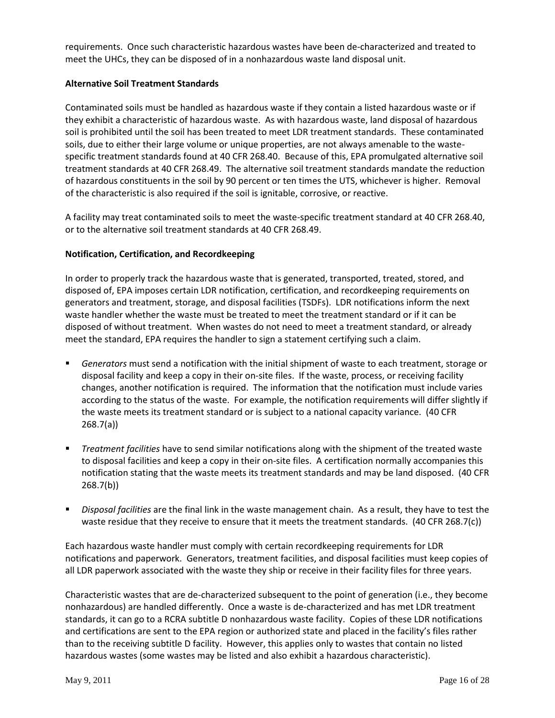requirements. Once such characteristic hazardous wastes have been de-characterized and treated to meet the UHCs, they can be disposed of in a nonhazardous waste land disposal unit.

### **Alternative Soil Treatment Standards**

Contaminated soils must be handled as hazardous waste if they contain a listed hazardous waste or if they exhibit a characteristic of hazardous waste. As with hazardous waste, land disposal of hazardous soil is prohibited until the soil has been treated to meet LDR treatment standards. These contaminated soils, due to either their large volume or unique properties, are not always amenable to the wastespecific treatment standards found at 40 CFR 268.40. Because of this, EPA promulgated alternative soil treatment standards at 40 CFR 268.49. The alternative soil treatment standards mandate the reduction of hazardous constituents in the soil by 90 percent or ten times the UTS, whichever is higher. Removal of the characteristic is also required if the soil is ignitable, corrosive, or reactive.

A facility may treat contaminated soils to meet the waste-specific treatment standard at 40 CFR 268.40, or to the alternative soil treatment standards at 40 CFR 268.49.

### **Notification, Certification, and Recordkeeping**

In order to properly track the hazardous waste that is generated, transported, treated, stored, and disposed of, EPA imposes certain LDR notification, certification, and recordkeeping requirements on generators and treatment, storage, and disposal facilities (TSDFs). LDR notifications inform the next waste handler whether the waste must be treated to meet the treatment standard or if it can be disposed of without treatment. When wastes do not need to meet a treatment standard, or already meet the standard, EPA requires the handler to sign a statement certifying such a claim.

- *Generators* must send a notification with the initial shipment of waste to each treatment, storage or disposal facility and keep a copy in their on-site files. If the waste, process, or receiving facility changes, another notification is required. The information that the notification must include varies according to the status of the waste. For example, the notification requirements will differ slightly if the waste meets its treatment standard or is subject to a national capacity variance. (40 CFR 268.7(a))
- *Treatment facilities* have to send similar notifications along with the shipment of the treated waste to disposal facilities and keep a copy in their on-site files. A certification normally accompanies this notification stating that the waste meets its treatment standards and may be land disposed. (40 CFR 268.7(b))
- *Disposal facilities* are the final link in the waste management chain. As a result, they have to test the waste residue that they receive to ensure that it meets the treatment standards. (40 CFR 268.7(c))

Each hazardous waste handler must comply with certain recordkeeping requirements for LDR notifications and paperwork. Generators, treatment facilities, and disposal facilities must keep copies of all LDR paperwork associated with the waste they ship or receive in their facility files for three years.

Characteristic wastes that are de-characterized subsequent to the point of generation (i.e., they become nonhazardous) are handled differently. Once a waste is de-characterized and has met LDR treatment standards, it can go to a RCRA subtitle D nonhazardous waste facility. Copies of these LDR notifications and certifications are sent to the EPA region or authorized state and placed in the facility's files rather than to the receiving subtitle D facility. However, this applies only to wastes that contain no listed hazardous wastes (some wastes may be listed and also exhibit a hazardous characteristic).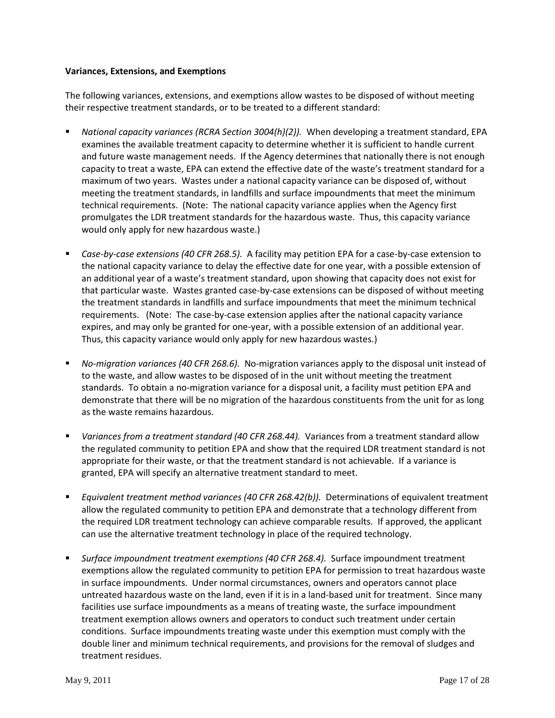#### **Variances, Extensions, and Exemptions**

The following variances, extensions, and exemptions allow wastes to be disposed of without meeting their respective treatment standards, or to be treated to a different standard:

- *National capacity variances (RCRA Section 3004(h)(2)).* When developing a treatment standard, EPA examines the available treatment capacity to determine whether it is sufficient to handle current and future waste management needs. If the Agency determines that nationally there is not enough capacity to treat a waste, EPA can extend the effective date of the waste's treatment standard for a maximum of two years. Wastes under a national capacity variance can be disposed of, without meeting the treatment standards, in landfills and surface impoundments that meet the minimum technical requirements. (Note: The national capacity variance applies when the Agency first promulgates the LDR treatment standards for the hazardous waste. Thus, this capacity variance would only apply for new hazardous waste.)
- *Case-by-case extensions (40 CFR 268.5).* A facility may petition EPA for a case-by-case extension to the national capacity variance to delay the effective date for one year, with a possible extension of an additional year of a waste's treatment standard, upon showing that capacity does not exist for that particular waste. Wastes granted case-by-case extensions can be disposed of without meeting the treatment standards in landfills and surface impoundments that meet the minimum technical requirements. (Note: The case-by-case extension applies after the national capacity variance expires, and may only be granted for one-year, with a possible extension of an additional year. Thus, this capacity variance would only apply for new hazardous wastes.)
- *No-migration variances (40 CFR 268.6).* No-migration variances apply to the disposal unit instead of to the waste, and allow wastes to be disposed of in the unit without meeting the treatment standards. To obtain a no-migration variance for a disposal unit, a facility must petition EPA and demonstrate that there will be no migration of the hazardous constituents from the unit for as long as the waste remains hazardous.
- *Variances from a treatment standard (40 CFR 268.44).* Variances from a treatment standard allow the regulated community to petition EPA and show that the required LDR treatment standard is not appropriate for their waste, or that the treatment standard is not achievable. If a variance is granted, EPA will specify an alternative treatment standard to meet.
- *Equivalent treatment method variances (40 CFR 268.42(b)).* Determinations of equivalent treatment allow the regulated community to petition EPA and demonstrate that a technology different from the required LDR treatment technology can achieve comparable results. If approved, the applicant can use the alternative treatment technology in place of the required technology.
- *Surface impoundment treatment exemptions (40 CFR 268.4).* Surface impoundment treatment exemptions allow the regulated community to petition EPA for permission to treat hazardous waste in surface impoundments. Under normal circumstances, owners and operators cannot place untreated hazardous waste on the land, even if it is in a land-based unit for treatment. Since many facilities use surface impoundments as a means of treating waste, the surface impoundment treatment exemption allows owners and operators to conduct such treatment under certain conditions. Surface impoundments treating waste under this exemption must comply with the double liner and minimum technical requirements, and provisions for the removal of sludges and treatment residues.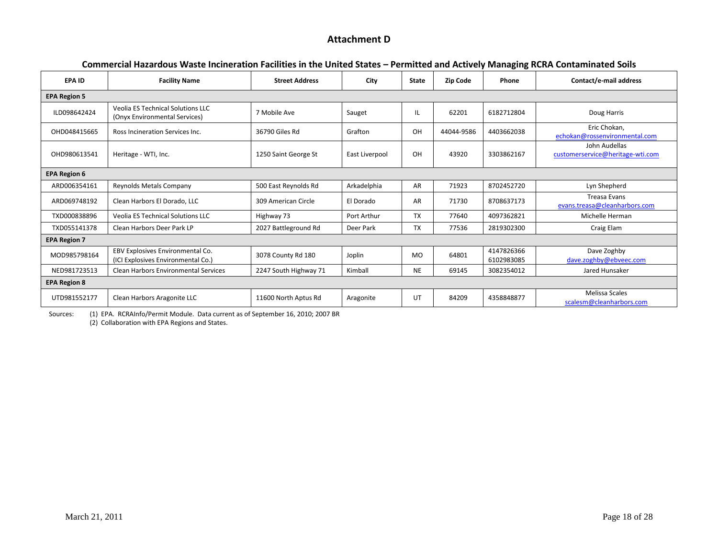### **Attachment D**

|                     |                                                                           |                       |                |              |            | ס…סי                     |                                                      |  |
|---------------------|---------------------------------------------------------------------------|-----------------------|----------------|--------------|------------|--------------------------|------------------------------------------------------|--|
| <b>EPA ID</b>       | <b>Facility Name</b>                                                      | <b>Street Address</b> | City           | <b>State</b> | Zip Code   | Phone                    | Contact/e-mail address                               |  |
| <b>EPA Region 5</b> |                                                                           |                       |                |              |            |                          |                                                      |  |
| ILD098642424        | <b>Veolia ES Technical Solutions LLC</b><br>(Onyx Environmental Services) | 7 Mobile Ave          | Sauget         | IL           | 62201      | 6182712804               | Doug Harris                                          |  |
| OHD048415665        | Ross Incineration Services Inc.                                           | 36790 Giles Rd        | Grafton        | OH           | 44044-9586 | 4403662038               | Eric Chokan,<br>echokan@rossenvironmental.com        |  |
| OHD980613541        | Heritage - WTI, Inc.                                                      | 1250 Saint George St  | East Liverpool | OH           | 43920      | 3303862167               | John Audellas<br>customerservice@heritage-wti.com    |  |
| <b>EPA Region 6</b> |                                                                           |                       |                |              |            |                          |                                                      |  |
| ARD006354161        | Reynolds Metals Company                                                   | 500 East Reynolds Rd  | Arkadelphia    | <b>AR</b>    | 71923      | 8702452720               | Lyn Shepherd                                         |  |
| ARD069748192        | Clean Harbors El Dorado, LLC                                              | 309 American Circle   | El Dorado      | AR           | 71730      | 8708637173               | <b>Treasa Evans</b><br>evans.treasa@cleanharbors.com |  |
| TXD000838896        | <b>Veolia ES Technical Solutions LLC</b>                                  | Highway 73            | Port Arthur    | <b>TX</b>    | 77640      | 4097362821               | Michelle Herman                                      |  |
| TXD055141378        | Clean Harbors Deer Park LP                                                | 2027 Battleground Rd  | Deer Park      | <b>TX</b>    | 77536      | 2819302300               | Craig Elam                                           |  |
| <b>EPA Region 7</b> |                                                                           |                       |                |              |            |                          |                                                      |  |
| MOD985798164        | EBV Explosives Environmental Co.<br>(ICI Explosives Environmental Co.)    | 3078 County Rd 180    | Joplin         | MO           | 64801      | 4147826366<br>6102983085 | Dave Zoghby<br>dave.zoghby@ebveec.com                |  |
| NED981723513        | <b>Clean Harbors Environmental Services</b>                               | 2247 South Highway 71 | Kimball        | <b>NE</b>    | 69145      | 3082354012               | Jared Hunsaker                                       |  |
| <b>EPA Region 8</b> |                                                                           |                       |                |              |            |                          |                                                      |  |
| UTD981552177        | Clean Harbors Aragonite LLC                                               | 11600 North Aptus Rd  | Aragonite      | UT           | 84209      | 4358848877               | <b>Melissa Scales</b><br>scalesm@cleanharbors.com    |  |

#### **Commercial Hazardous Waste Incineration Facilities in the United States – Permitted and Actively Managing RCRA Contaminated Soils**

Sources: (1) EPA. RCRAInfo/Permit Module. Data current as of September 16, 2010; 2007 BR

(2) Collaboration with EPA Regions and States.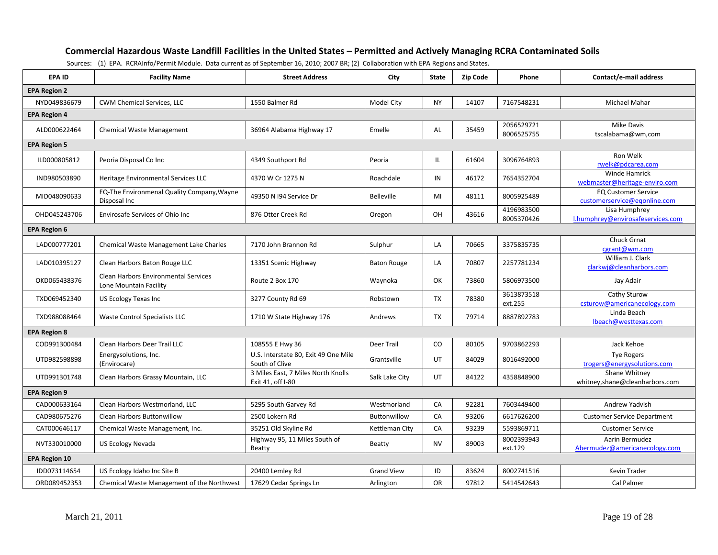#### **Commercial Hazardous Waste Landfill Facilities in the United States – Permitted and Actively Managing RCRA Contaminated Soils**

| EPA ID               | <b>Facility Name</b>                                           | <b>Street Address</b>                                   | City               | <b>State</b> | <b>Zip Code</b> | Phone                    | Contact/e-mail address                                     |
|----------------------|----------------------------------------------------------------|---------------------------------------------------------|--------------------|--------------|-----------------|--------------------------|------------------------------------------------------------|
| <b>EPA Region 2</b>  |                                                                |                                                         |                    |              |                 |                          |                                                            |
| NYD049836679         | CWM Chemical Services, LLC                                     | 1550 Balmer Rd                                          | Model City         | <b>NY</b>    | 14107           | 7167548231               | Michael Mahar                                              |
| <b>EPA Region 4</b>  |                                                                |                                                         |                    |              |                 |                          |                                                            |
| ALD000622464         | <b>Chemical Waste Management</b>                               | 36964 Alabama Highway 17                                | Emelle             | AL           | 35459           | 2056529721<br>8006525755 | Mike Davis<br>tscalabama@wm,com                            |
| <b>EPA Region 5</b>  |                                                                |                                                         |                    |              |                 |                          |                                                            |
| ILD000805812         | Peoria Disposal Co Inc                                         | 4349 Southport Rd                                       | Peoria             | IL           | 61604           | 3096764893               | Ron Welk<br>rwelk@pdcarea.com                              |
| IND980503890         | Heritage Environmental Services LLC                            | 4370 W Cr 1275 N                                        | Roachdale          | IN           | 46172           | 7654352704               | Winde Hamrick<br>webmaster@heritage-enviro.com             |
| MID048090633         | EQ-The Environmenal Quality Company, Wayne<br>Disposal Inc     | 49350 N I94 Service Dr                                  | Belleville         | MI           | 48111           | 8005925489               | <b>EQ Customer Service</b><br>customerservice@egonline.com |
| OHD045243706         | Envirosafe Services of Ohio Inc                                | 876 Otter Creek Rd                                      | Oregon             | OH           | 43616           | 4196983500<br>8005370426 | Lisa Humphrey<br>l.humphrey@envirosafeservices.com         |
| <b>EPA Region 6</b>  |                                                                |                                                         |                    |              |                 |                          |                                                            |
| LAD000777201         | Chemical Waste Management Lake Charles                         | 7170 John Brannon Rd                                    | Sulphur            | LA           | 70665           | 3375835735               | <b>Chuck Grnat</b><br>cgrant@wm.com                        |
| LAD010395127         | Clean Harbors Baton Rouge LLC                                  | 13351 Scenic Highway                                    | <b>Baton Rouge</b> | LA           | 70807           | 2257781234               | William J. Clark<br>clarkwj@cleanharbors.com               |
| OKD065438376         | Clean Harbors Environmental Services<br>Lone Mountain Facility | Route 2 Box 170                                         | Waynoka            | OK           | 73860           | 5806973500               | Jay Adair                                                  |
| TXD069452340         | US Ecology Texas Inc                                           | 3277 County Rd 69                                       | Robstown           | <b>TX</b>    | 78380           | 3613873518<br>ext.255    | Cathy Sturow<br>csturow@americanecology.com                |
| TXD988088464         | Waste Control Specialists LLC                                  | 1710 W State Highway 176                                | Andrews            | <b>TX</b>    | 79714           | 8887892783               | Linda Beach<br>lbeach@westtexas.com                        |
| <b>EPA Region 8</b>  |                                                                |                                                         |                    |              |                 |                          |                                                            |
| COD991300484         | Clean Harbors Deer Trail LLC                                   | 108555 E Hwy 36                                         | <b>Deer Trail</b>  | CO           | 80105           | 9703862293               | Jack Kehoe                                                 |
| UTD982598898         | Energysolutions, Inc.<br>(Envirocare)                          | U.S. Interstate 80, Exit 49 One Mile<br>South of Clive  | Grantsville        | UT           | 84029           | 8016492000               | <b>Tye Rogers</b><br>trogers@energysolutions.com           |
| UTD991301748         | Clean Harbors Grassy Mountain, LLC                             | 3 Miles East, 7 Miles North Knolls<br>Exit 41, off I-80 | Salk Lake City     | UT           | 84122           | 4358848900               | Shane Whitney<br>whitney,shane@cleanharbors.com            |
| <b>EPA Region 9</b>  |                                                                |                                                         |                    |              |                 |                          |                                                            |
| CAD000633164         | Clean Harbors Westmorland, LLC                                 | 5295 South Garvey Rd                                    | Westmorland        | CA           | 92281           | 7603449400               | Andrew Yadvish                                             |
| CAD980675276         | <b>Clean Harbors Buttonwillow</b>                              | 2500 Lokern Rd                                          | Buttonwillow       | CA           | 93206           | 6617626200               | <b>Customer Service Department</b>                         |
| CAT000646117         | Chemical Waste Management, Inc.                                | 35251 Old Skyline Rd                                    | Kettleman City     | CA           | 93239           | 5593869711               | <b>Customer Service</b>                                    |
| NVT330010000         | <b>US Ecology Nevada</b>                                       | Highway 95, 11 Miles South of<br>Beatty                 | Beatty             | <b>NV</b>    | 89003           | 8002393943<br>ext.129    | Aarin Bermudez<br>Abermudez@americanecology.com            |
| <b>EPA Region 10</b> |                                                                |                                                         |                    |              |                 |                          |                                                            |
| IDD073114654         | US Ecology Idaho Inc Site B                                    | 20400 Lemley Rd                                         | <b>Grand View</b>  | ID           | 83624           | 8002741516               | Kevin Trader                                               |
| ORD089452353         | Chemical Waste Management of the Northwest                     | 17629 Cedar Springs Ln                                  | Arlington          | <b>OR</b>    | 97812           | 5414542643               | Cal Palmer                                                 |

Sources: (1) EPA. RCRAInfo/Permit Module. Data current as of September 16, 2010; 2007 BR; (2) Collaboration with EPA Regions and States.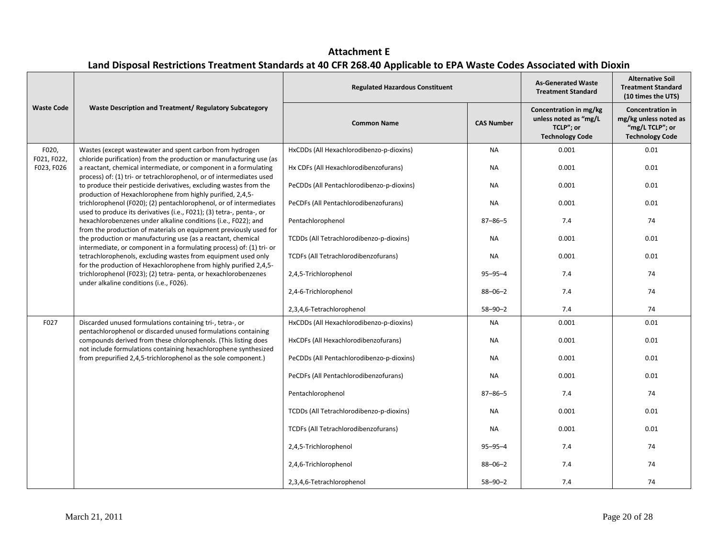**Attachment E Land Disposal Restrictions Treatment Standards at 40 CFR 268.40 Applicable to EPA Waste Codes Associated with Dioxin**

|                           |                                                                                                                                                                                                                                                 | <b>Regulated Hazardous Constituent</b>    |                   | <b>As-Generated Waste</b><br><b>Treatment Standard</b>                                 | <b>Alternative Soil</b><br><b>Treatment Standard</b><br>(10 times the UTS)                    |
|---------------------------|-------------------------------------------------------------------------------------------------------------------------------------------------------------------------------------------------------------------------------------------------|-------------------------------------------|-------------------|----------------------------------------------------------------------------------------|-----------------------------------------------------------------------------------------------|
| <b>Waste Code</b>         | Waste Description and Treatment/ Regulatory Subcategory                                                                                                                                                                                         | <b>Common Name</b>                        | <b>CAS Number</b> | Concentration in mg/kg<br>unless noted as "mg/L<br>TCLP"; or<br><b>Technology Code</b> | <b>Concentration in</b><br>mg/kg unless noted as<br>"mg/L TCLP"; or<br><b>Technology Code</b> |
| F020,                     | Wastes (except wastewater and spent carbon from hydrogen                                                                                                                                                                                        | HxCDDs (All Hexachlorodibenzo-p-dioxins)  | <b>NA</b>         | 0.001                                                                                  | 0.01                                                                                          |
| F021, F022,<br>F023, F026 | chloride purification) from the production or manufacturing use (as<br>a reactant, chemical intermediate, or component in a formulating<br>process) of: (1) tri- or tetrachlorophenol, or of intermediates used                                 | Hx CDFs (All Hexachlorodibenzofurans)     | <b>NA</b>         | 0.001                                                                                  | 0.01                                                                                          |
|                           | to produce their pesticide derivatives, excluding wastes from the<br>production of Hexachlorophene from highly purified, 2,4,5-                                                                                                                 | PeCDDs (All Pentachlorodibenzo-p-dioxins) | <b>NA</b>         | 0.001                                                                                  | 0.01                                                                                          |
|                           | trichlorophenol (F020); (2) pentachlorophenol, or of intermediates                                                                                                                                                                              | PeCDFs (All Pentachlorodibenzofurans)     | NA                | 0.001                                                                                  | 0.01                                                                                          |
|                           | used to produce its derivatives (i.e., F021); (3) tetra-, penta-, or<br>hexachlorobenzenes under alkaline conditions (i.e., F022); and<br>from the production of materials on equipment previously used for                                     | Pentachlorophenol                         | $87 - 86 - 5$     | 7.4                                                                                    | 74                                                                                            |
|                           | the production or manufacturing use (as a reactant, chemical<br>intermediate, or component in a formulating process) of: (1) tri- or                                                                                                            | TCDDs (All Tetrachlorodibenzo-p-dioxins)  | <b>NA</b>         | 0.001                                                                                  | 0.01                                                                                          |
|                           | tetrachlorophenols, excluding wastes from equipment used only<br>for the production of Hexachlorophene from highly purified 2,4,5-<br>trichlorophenol (F023); (2) tetra-penta, or hexachlorobenzenes<br>under alkaline conditions (i.e., F026). | TCDFs (All Tetrachlorodibenzofurans)      | <b>NA</b>         | 0.001                                                                                  | 0.01                                                                                          |
|                           |                                                                                                                                                                                                                                                 | 2,4,5-Trichlorophenol                     | $95 - 95 - 4$     | 7.4                                                                                    | 74                                                                                            |
|                           |                                                                                                                                                                                                                                                 | 2,4-6-Trichlorophenol                     | $88 - 06 - 2$     | 7.4                                                                                    | 74                                                                                            |
|                           |                                                                                                                                                                                                                                                 | 2,3,4,6-Tetrachlorophenol                 | $58 - 90 - 2$     | 7.4                                                                                    | 74                                                                                            |
| F027                      | Discarded unused formulations containing tri-, tetra-, or<br>pentachlorophenol or discarded unused formulations containing                                                                                                                      | HxCDDs (All Hexachlorodibenzo-p-dioxins)  | <b>NA</b>         | 0.001                                                                                  | 0.01                                                                                          |
|                           | compounds derived from these chlorophenols. (This listing does<br>not include formulations containing hexachlorophene synthesized                                                                                                               | HxCDFs (All Hexachlorodibenzofurans)      | <b>NA</b>         | 0.001                                                                                  | 0.01                                                                                          |
|                           | from prepurified 2,4,5-trichlorophenol as the sole component.)                                                                                                                                                                                  | PeCDDs (All Pentachlorodibenzo-p-dioxins) | <b>NA</b>         | 0.001                                                                                  | 0.01                                                                                          |
|                           |                                                                                                                                                                                                                                                 | PeCDFs (All Pentachlorodibenzofurans)     | NA                | 0.001                                                                                  | 0.01                                                                                          |
|                           |                                                                                                                                                                                                                                                 | Pentachlorophenol                         | $87 - 86 - 5$     | 7.4                                                                                    | 74                                                                                            |
|                           |                                                                                                                                                                                                                                                 | TCDDs (All Tetrachlorodibenzo-p-dioxins)  | <b>NA</b>         | 0.001                                                                                  | 0.01                                                                                          |
|                           |                                                                                                                                                                                                                                                 | TCDFs (All Tetrachlorodibenzofurans)      | <b>NA</b>         | 0.001                                                                                  | 0.01                                                                                          |
|                           |                                                                                                                                                                                                                                                 | 2,4,5-Trichlorophenol                     | $95 - 95 - 4$     | 7.4                                                                                    | 74                                                                                            |
|                           |                                                                                                                                                                                                                                                 | 2,4,6-Trichlorophenol                     | $88 - 06 - 2$     | 7.4                                                                                    | 74                                                                                            |
|                           |                                                                                                                                                                                                                                                 | 2,3,4,6-Tetrachlorophenol                 | $58 - 90 - 2$     | 7.4                                                                                    | 74                                                                                            |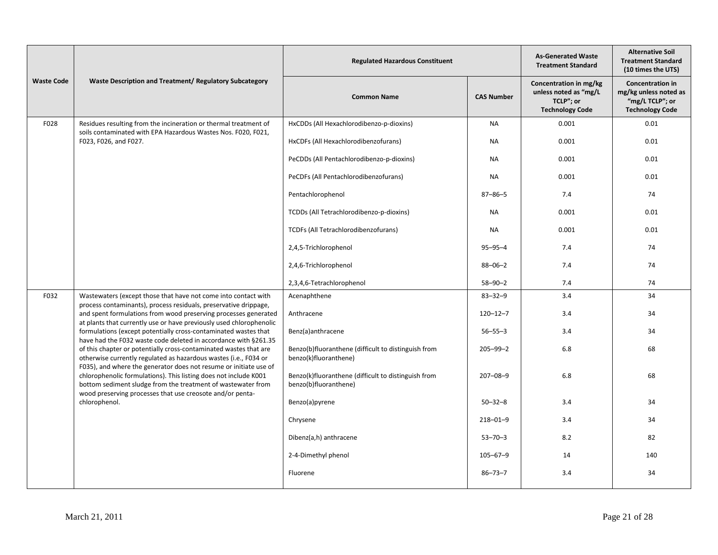|                   |                                                                                                                                                                                                       | <b>Regulated Hazardous Constituent</b>                                       | <b>As-Generated Waste</b><br><b>Treatment Standard</b> | <b>Alternative Soil</b><br><b>Treatment Standard</b><br>(10 times the UTS)             |                                                                                               |
|-------------------|-------------------------------------------------------------------------------------------------------------------------------------------------------------------------------------------------------|------------------------------------------------------------------------------|--------------------------------------------------------|----------------------------------------------------------------------------------------|-----------------------------------------------------------------------------------------------|
| <b>Waste Code</b> | Waste Description and Treatment/ Regulatory Subcategory                                                                                                                                               | <b>Common Name</b>                                                           | <b>CAS Number</b>                                      | Concentration in mg/kg<br>unless noted as "mg/L<br>TCLP"; or<br><b>Technology Code</b> | <b>Concentration in</b><br>mg/kg unless noted as<br>"mg/L TCLP"; or<br><b>Technology Code</b> |
| F028              | Residues resulting from the incineration or thermal treatment of<br>soils contaminated with EPA Hazardous Wastes Nos. F020, F021,                                                                     | HxCDDs (All Hexachlorodibenzo-p-dioxins)                                     | NA                                                     | 0.001                                                                                  | 0.01                                                                                          |
|                   | F023, F026, and F027.                                                                                                                                                                                 | HxCDFs (All Hexachlorodibenzofurans)                                         | <b>NA</b>                                              | 0.001                                                                                  | 0.01                                                                                          |
|                   |                                                                                                                                                                                                       | PeCDDs (All Pentachlorodibenzo-p-dioxins)                                    | <b>NA</b>                                              | 0.001                                                                                  | 0.01                                                                                          |
|                   |                                                                                                                                                                                                       | PeCDFs (All Pentachlorodibenzofurans)                                        | <b>NA</b>                                              | 0.001                                                                                  | 0.01                                                                                          |
|                   |                                                                                                                                                                                                       | Pentachlorophenol                                                            | $87 - 86 - 5$                                          | 7.4                                                                                    | 74                                                                                            |
|                   |                                                                                                                                                                                                       | TCDDs (All Tetrachlorodibenzo-p-dioxins)                                     | <b>NA</b>                                              | 0.001                                                                                  | 0.01                                                                                          |
|                   |                                                                                                                                                                                                       | TCDFs (All Tetrachlorodibenzofurans)                                         | <b>NA</b>                                              | 0.001                                                                                  | 0.01                                                                                          |
|                   |                                                                                                                                                                                                       | 2,4,5-Trichlorophenol                                                        | $95 - 95 - 4$                                          | 7.4                                                                                    | 74                                                                                            |
|                   |                                                                                                                                                                                                       | 2,4,6-Trichlorophenol                                                        | $88 - 06 - 2$                                          | 7.4                                                                                    | 74                                                                                            |
|                   |                                                                                                                                                                                                       | 2,3,4,6-Tetrachlorophenol                                                    | $58 - 90 - 2$                                          | 7.4                                                                                    | 74                                                                                            |
| F032              | Wastewaters (except those that have not come into contact with<br>process contaminants), process residuals, preservative drippage,                                                                    | Acenaphthene                                                                 | $83 - 32 - 9$                                          | 3.4                                                                                    | 34                                                                                            |
|                   | and spent formulations from wood preserving processes generated<br>at plants that currently use or have previously used chlorophenolic                                                                | Anthracene                                                                   | $120 - 12 - 7$                                         | 3.4                                                                                    | 34                                                                                            |
|                   | formulations (except potentially cross-contaminated wastes that<br>have had the F032 waste code deleted in accordance with §261.35                                                                    | Benz(a)anthracene                                                            | $56 - 55 - 3$                                          | 3.4                                                                                    | 34                                                                                            |
|                   | of this chapter or potentially cross-contaminated wastes that are<br>otherwise currently regulated as hazardous wastes (i.e., F034 or                                                                 | Benzo(b)fluoranthene (difficult to distinguish from<br>benzo(k)fluoranthene) | $205 - 99 - 2$                                         | 6.8                                                                                    | 68                                                                                            |
|                   | F035), and where the generator does not resume or initiate use of<br>chlorophenolic formulations). This listing does not include K001<br>bottom sediment sludge from the treatment of wastewater from | Benzo(k)fluoranthene (difficult to distinguish from<br>benzo(b)fluoranthene) | $207 - 08 - 9$                                         | 6.8                                                                                    | 68                                                                                            |
|                   | wood preserving processes that use creosote and/or penta-<br>chlorophenol.                                                                                                                            | Benzo(a)pyrene                                                               | $50 - 32 - 8$                                          | 3.4                                                                                    | 34                                                                                            |
|                   |                                                                                                                                                                                                       | Chrysene                                                                     | $218 - 01 - 9$                                         | 3.4                                                                                    | 34                                                                                            |
|                   |                                                                                                                                                                                                       | Dibenz(a,h) anthracene                                                       | $53 - 70 - 3$                                          | 8.2                                                                                    | 82                                                                                            |
|                   |                                                                                                                                                                                                       | 2-4-Dimethyl phenol                                                          | $105 - 67 - 9$                                         | 14                                                                                     | 140                                                                                           |
|                   |                                                                                                                                                                                                       | Fluorene                                                                     | $86 - 73 - 7$                                          | 3.4                                                                                    | 34                                                                                            |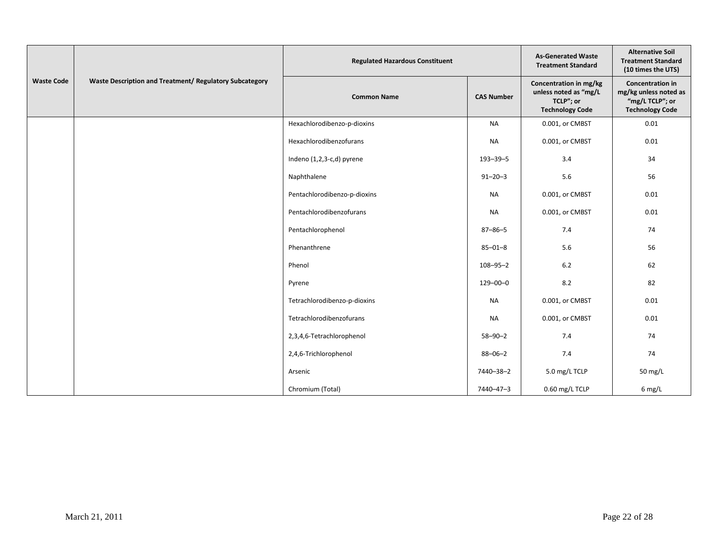|                   |                                                         | <b>Regulated Hazardous Constituent</b> | <b>As-Generated Waste</b><br><b>Treatment Standard</b> | <b>Alternative Soil</b><br><b>Treatment Standard</b><br>(10 times the UTS)             |                                                                                               |
|-------------------|---------------------------------------------------------|----------------------------------------|--------------------------------------------------------|----------------------------------------------------------------------------------------|-----------------------------------------------------------------------------------------------|
| <b>Waste Code</b> | Waste Description and Treatment/ Regulatory Subcategory | <b>Common Name</b>                     | <b>CAS Number</b>                                      | Concentration in mg/kg<br>unless noted as "mg/L<br>TCLP"; or<br><b>Technology Code</b> | <b>Concentration in</b><br>mg/kg unless noted as<br>"mg/L TCLP"; or<br><b>Technology Code</b> |
|                   |                                                         | Hexachlorodibenzo-p-dioxins            | <b>NA</b>                                              | 0.001, or CMBST                                                                        | $0.01\,$                                                                                      |
|                   |                                                         | Hexachlorodibenzofurans                | <b>NA</b>                                              | 0.001, or CMBST                                                                        | 0.01                                                                                          |
|                   |                                                         | Indeno (1,2,3-c,d) pyrene              | $193 - 39 - 5$                                         | 3.4                                                                                    | 34                                                                                            |
|                   |                                                         | Naphthalene                            | $91 - 20 - 3$                                          | 5.6                                                                                    | 56                                                                                            |
|                   |                                                         | Pentachlorodibenzo-p-dioxins           | <b>NA</b>                                              | 0.001, or CMBST                                                                        | 0.01                                                                                          |
|                   |                                                         | Pentachlorodibenzofurans               | NA                                                     | 0.001, or CMBST                                                                        | 0.01                                                                                          |
|                   |                                                         | Pentachlorophenol                      | $87 - 86 - 5$                                          | 7.4                                                                                    | 74                                                                                            |
|                   |                                                         | Phenanthrene                           | $85 - 01 - 8$                                          | 5.6                                                                                    | 56                                                                                            |
|                   |                                                         | Phenol                                 | $108 - 95 - 2$                                         | 6.2                                                                                    | 62                                                                                            |
|                   |                                                         | Pyrene                                 | $129 - 00 - 0$                                         | 8.2                                                                                    | 82                                                                                            |
|                   |                                                         | Tetrachlorodibenzo-p-dioxins           | NA                                                     | 0.001, or CMBST                                                                        | 0.01                                                                                          |
|                   |                                                         | Tetrachlorodibenzofurans               | <b>NA</b>                                              | 0.001, or CMBST                                                                        | 0.01                                                                                          |
|                   |                                                         | 2,3,4,6-Tetrachlorophenol              | $58 - 90 - 2$                                          | 7.4                                                                                    | 74                                                                                            |
|                   |                                                         | 2,4,6-Trichlorophenol                  | $88 - 06 - 2$                                          | 7.4                                                                                    | 74                                                                                            |
|                   |                                                         | Arsenic                                | 7440-38-2                                              | 5.0 mg/L TCLP                                                                          | 50 mg/L                                                                                       |
|                   |                                                         | Chromium (Total)                       | 7440-47-3                                              | 0.60 mg/L TCLP                                                                         | $6$ mg/L                                                                                      |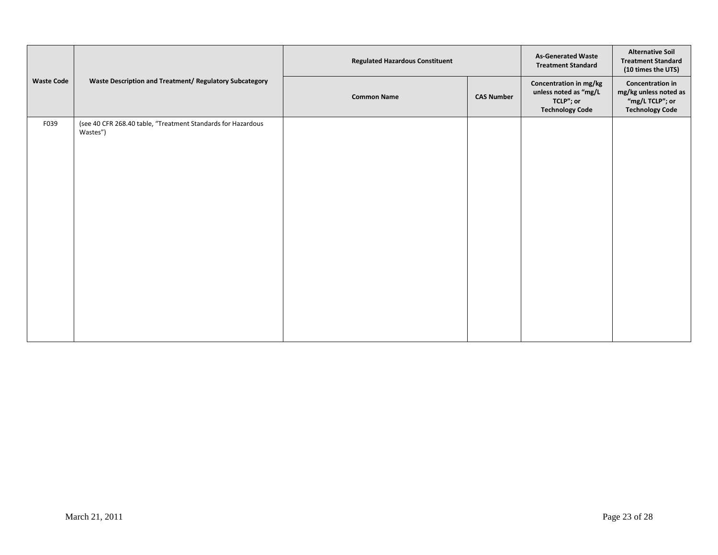|                   | Waste Description and Treatment/ Regulatory Subcategory                  | <b>Regulated Hazardous Constituent</b> | <b>As-Generated Waste</b><br><b>Treatment Standard</b> | <b>Alternative Soil</b><br><b>Treatment Standard</b><br>(10 times the UTS)             |                                                                                               |
|-------------------|--------------------------------------------------------------------------|----------------------------------------|--------------------------------------------------------|----------------------------------------------------------------------------------------|-----------------------------------------------------------------------------------------------|
| <b>Waste Code</b> |                                                                          | <b>Common Name</b>                     | <b>CAS Number</b>                                      | Concentration in mg/kg<br>unless noted as "mg/L<br>TCLP"; or<br><b>Technology Code</b> | <b>Concentration in</b><br>mg/kg unless noted as<br>"mg/L TCLP"; or<br><b>Technology Code</b> |
| F039              | (see 40 CFR 268.40 table, "Treatment Standards for Hazardous<br>Wastes") |                                        |                                                        |                                                                                        |                                                                                               |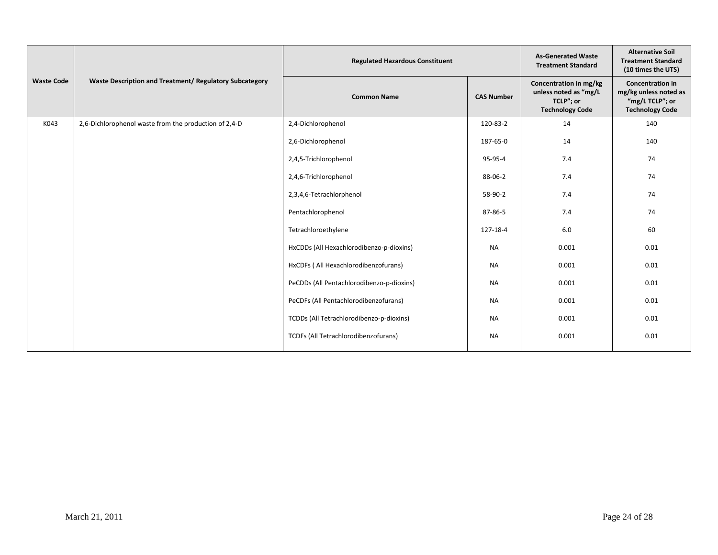|                   | Waste Description and Treatment/ Regulatory Subcategory | <b>Regulated Hazardous Constituent</b>    | <b>As-Generated Waste</b><br><b>Treatment Standard</b> | <b>Alternative Soil</b><br><b>Treatment Standard</b><br>(10 times the UTS)             |                                                                                               |
|-------------------|---------------------------------------------------------|-------------------------------------------|--------------------------------------------------------|----------------------------------------------------------------------------------------|-----------------------------------------------------------------------------------------------|
| <b>Waste Code</b> |                                                         | <b>Common Name</b>                        | <b>CAS Number</b>                                      | Concentration in mg/kg<br>unless noted as "mg/L<br>TCLP"; or<br><b>Technology Code</b> | <b>Concentration in</b><br>mg/kg unless noted as<br>"mg/L TCLP"; or<br><b>Technology Code</b> |
| K043              | 2,6-Dichlorophenol waste from the production of 2,4-D   | 2,4-Dichlorophenol                        | 120-83-2                                               | 14                                                                                     | 140                                                                                           |
|                   |                                                         | 2,6-Dichlorophenol                        | 187-65-0                                               | 14                                                                                     | 140                                                                                           |
|                   |                                                         | 2,4,5-Trichlorophenol                     | 95-95-4                                                | 7.4                                                                                    | 74                                                                                            |
|                   |                                                         | 2,4,6-Trichlorophenol                     | 88-06-2                                                | 7.4                                                                                    | 74                                                                                            |
|                   |                                                         | 2,3,4,6-Tetrachlorphenol                  | 58-90-2                                                | 7.4                                                                                    | 74                                                                                            |
|                   |                                                         | Pentachlorophenol                         | 87-86-5                                                | 7.4                                                                                    | 74                                                                                            |
|                   |                                                         | Tetrachloroethylene                       | 127-18-4                                               | 6.0                                                                                    | 60                                                                                            |
|                   |                                                         | HxCDDs (All Hexachlorodibenzo-p-dioxins)  | <b>NA</b>                                              | 0.001                                                                                  | 0.01                                                                                          |
|                   |                                                         | HxCDFs (All Hexachlorodibenzofurans)      | <b>NA</b>                                              | 0.001                                                                                  | 0.01                                                                                          |
|                   |                                                         | PeCDDs (All Pentachlorodibenzo-p-dioxins) | <b>NA</b>                                              | 0.001                                                                                  | 0.01                                                                                          |
|                   |                                                         | PeCDFs (All Pentachlorodibenzofurans)     | <b>NA</b>                                              | 0.001                                                                                  | 0.01                                                                                          |
|                   |                                                         | TCDDs (All Tetrachlorodibenzo-p-dioxins)  | <b>NA</b>                                              | 0.001                                                                                  | 0.01                                                                                          |
|                   |                                                         | TCDFs (All Tetrachlorodibenzofurans)      | <b>NA</b>                                              | 0.001                                                                                  | 0.01                                                                                          |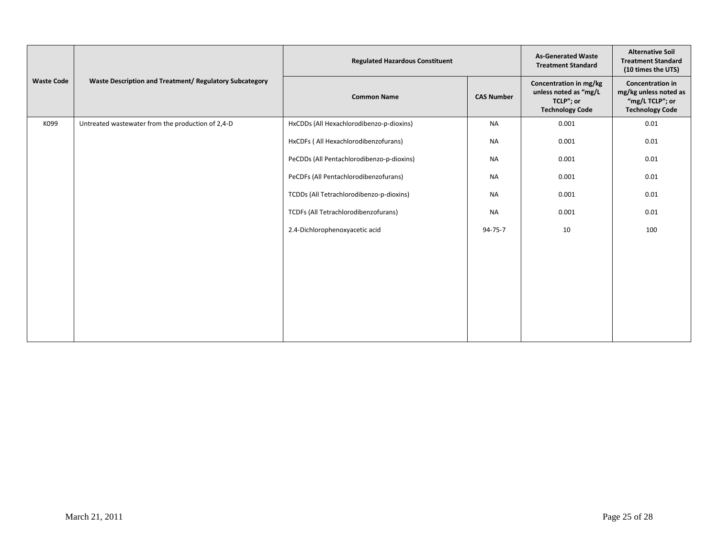|                   | Waste Description and Treatment/ Regulatory Subcategory | <b>Regulated Hazardous Constituent</b>    | <b>As-Generated Waste</b><br><b>Treatment Standard</b> | <b>Alternative Soil</b><br><b>Treatment Standard</b><br>(10 times the UTS)             |                                                                                               |
|-------------------|---------------------------------------------------------|-------------------------------------------|--------------------------------------------------------|----------------------------------------------------------------------------------------|-----------------------------------------------------------------------------------------------|
| <b>Waste Code</b> |                                                         | <b>Common Name</b>                        | <b>CAS Number</b>                                      | Concentration in mg/kg<br>unless noted as "mg/L<br>TCLP"; or<br><b>Technology Code</b> | <b>Concentration in</b><br>mg/kg unless noted as<br>"mg/L TCLP"; or<br><b>Technology Code</b> |
| K099              | Untreated wastewater from the production of 2,4-D       | HxCDDs (All Hexachlorodibenzo-p-dioxins)  | <b>NA</b>                                              | 0.001                                                                                  | 0.01                                                                                          |
|                   |                                                         | HxCDFs ( All Hexachlorodibenzofurans)     | <b>NA</b>                                              | 0.001                                                                                  | 0.01                                                                                          |
|                   |                                                         | PeCDDs (All Pentachlorodibenzo-p-dioxins) | <b>NA</b>                                              | 0.001                                                                                  | 0.01                                                                                          |
|                   |                                                         | PeCDFs (All Pentachlorodibenzofurans)     | <b>NA</b>                                              | 0.001                                                                                  | 0.01                                                                                          |
|                   |                                                         | TCDDs (All Tetrachlorodibenzo-p-dioxins)  | <b>NA</b>                                              | 0.001                                                                                  | 0.01                                                                                          |
|                   |                                                         | TCDFs (All Tetrachlorodibenzofurans)      | NA                                                     | 0.001                                                                                  | 0.01                                                                                          |
|                   |                                                         | 2.4-Dichlorophenoxyacetic acid            | 94-75-7                                                | 10                                                                                     | 100                                                                                           |
|                   |                                                         |                                           |                                                        |                                                                                        |                                                                                               |
|                   |                                                         |                                           |                                                        |                                                                                        |                                                                                               |
|                   |                                                         |                                           |                                                        |                                                                                        |                                                                                               |
|                   |                                                         |                                           |                                                        |                                                                                        |                                                                                               |
|                   |                                                         |                                           |                                                        |                                                                                        |                                                                                               |
|                   |                                                         |                                           |                                                        |                                                                                        |                                                                                               |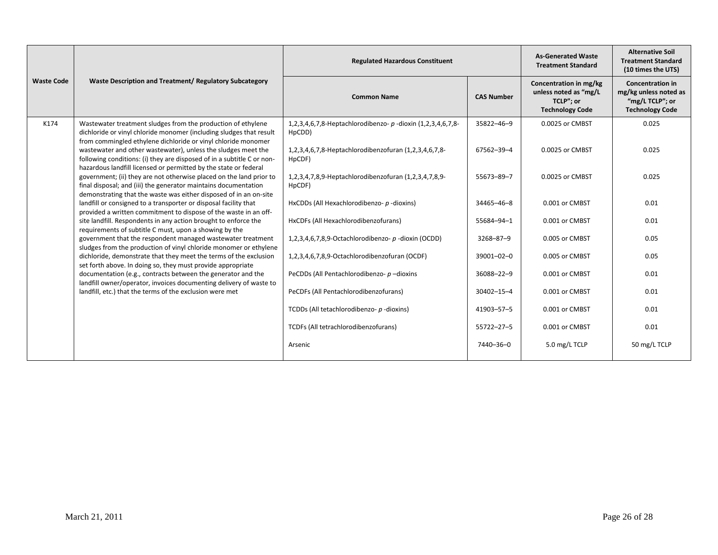|                   | Waste Description and Treatment/ Regulatory Subcategory                                                                                                                                                     | <b>Regulated Hazardous Constituent</b>                                                         | <b>As-Generated Waste</b><br><b>Treatment Standard</b> | <b>Alternative Soil</b><br><b>Treatment Standard</b><br>(10 times the UTS)             |                                                                                               |
|-------------------|-------------------------------------------------------------------------------------------------------------------------------------------------------------------------------------------------------------|------------------------------------------------------------------------------------------------|--------------------------------------------------------|----------------------------------------------------------------------------------------|-----------------------------------------------------------------------------------------------|
| <b>Waste Code</b> |                                                                                                                                                                                                             | <b>Common Name</b>                                                                             | <b>CAS Number</b>                                      | Concentration in mg/kg<br>unless noted as "mg/L<br>TCLP"; or<br><b>Technology Code</b> | <b>Concentration in</b><br>mg/kg unless noted as<br>"mg/L TCLP"; or<br><b>Technology Code</b> |
| K174              | Wastewater treatment sludges from the production of ethylene<br>dichloride or vinyl chloride monomer (including sludges that result<br>from commingled ethylene dichloride or vinyl chloride monomer        | 1,2,3,4,6,7,8-Heptachlorodibenzo- p-dioxin (1,2,3,4,6,7,8-<br>H <sub>p</sub> CD <sub>D</sub> ) | 35822-46-9                                             | 0.0025 or CMBST                                                                        | 0.025                                                                                         |
|                   | wastewater and other wastewater), unless the sludges meet the<br>following conditions: (i) they are disposed of in a subtitle C or non-<br>hazardous landfill licensed or permitted by the state or federal | 1,2,3,4,6,7,8-Heptachlorodibenzofuran (1,2,3,4,6,7,8-<br>HpCDF)                                | 67562-39-4                                             | 0.0025 or CMBST                                                                        | 0.025                                                                                         |
|                   | government; (ii) they are not otherwise placed on the land prior to<br>final disposal; and (iii) the generator maintains documentation<br>demonstrating that the waste was either disposed of in an on-site | 1,2,3,4,7,8,9-Heptachlorodibenzofuran (1,2,3,4,7,8,9-<br>HpCDF)                                | 55673-89-7                                             | 0.0025 or CMBST                                                                        | 0.025                                                                                         |
|                   | landfill or consigned to a transporter or disposal facility that<br>provided a written commitment to dispose of the waste in an off-                                                                        | HxCDDs (All Hexachlorodibenzo- p-dioxins)                                                      | 34465-46-8                                             | 0.001 or CMBST                                                                         | 0.01                                                                                          |
|                   | site landfill. Respondents in any action brought to enforce the<br>requirements of subtitle C must, upon a showing by the                                                                                   | HxCDFs (All Hexachlorodibenzofurans)                                                           | 55684-94-1                                             | 0.001 or CMBST                                                                         | 0.01                                                                                          |
|                   | government that the respondent managed wastewater treatment<br>sludges from the production of vinyl chloride monomer or ethylene                                                                            | 1,2,3,4,6,7,8,9-Octachlorodibenzo- p-dioxin (OCDD)                                             | 3268-87-9                                              | 0.005 or CMBST                                                                         | 0.05                                                                                          |
|                   | dichloride, demonstrate that they meet the terms of the exclusion<br>set forth above. In doing so, they must provide appropriate                                                                            | 1,2,3,4,6,7,8,9-Octachlorodibenzofuran (OCDF)                                                  | 39001-02-0                                             | 0.005 or CMBST                                                                         | 0.05                                                                                          |
|                   | documentation (e.g., contracts between the generator and the<br>landfill owner/operator, invoices documenting delivery of waste to                                                                          | PeCDDs (All Pentachlorodibenzo- p-dioxins                                                      | 36088-22-9                                             | 0.001 or CMBST                                                                         | 0.01                                                                                          |
|                   | landfill, etc.) that the terms of the exclusion were met                                                                                                                                                    | PeCDFs (All Pentachlorodibenzofurans)                                                          | 30402-15-4                                             | 0.001 or CMBST                                                                         | 0.01                                                                                          |
|                   |                                                                                                                                                                                                             | TCDDs (All tetachlorodibenzo- p-dioxins)                                                       | 41903-57-5                                             | 0.001 or CMBST                                                                         | 0.01                                                                                          |
|                   |                                                                                                                                                                                                             | TCDFs (All tetrachlorodibenzofurans)                                                           | 55722-27-5                                             | 0.001 or CMBST                                                                         | 0.01                                                                                          |
|                   |                                                                                                                                                                                                             | Arsenic                                                                                        | 7440-36-0                                              | 5.0 mg/L TCLP                                                                          | 50 mg/L TCLP                                                                                  |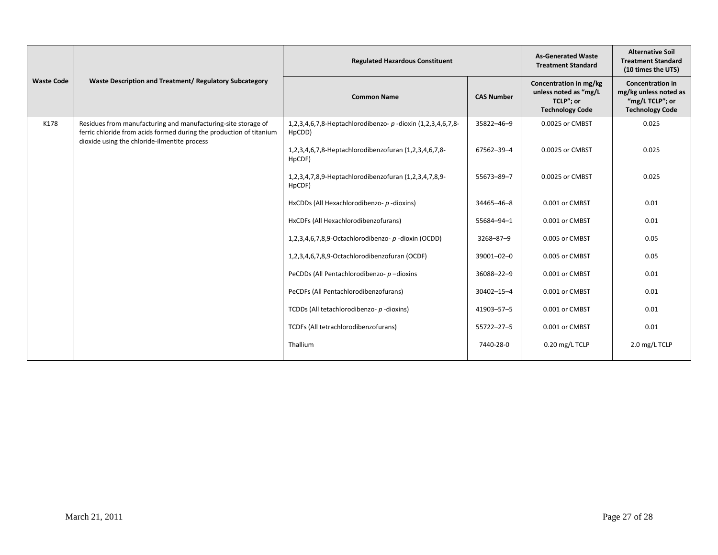|                   | Waste Description and Treatment/ Regulatory Subcategory                                                                                                                              | <b>Regulated Hazardous Constituent</b>                                |                   | <b>As-Generated Waste</b><br><b>Treatment Standard</b>                                 | <b>Alternative Soil</b><br><b>Treatment Standard</b><br>(10 times the UTS)                    |
|-------------------|--------------------------------------------------------------------------------------------------------------------------------------------------------------------------------------|-----------------------------------------------------------------------|-------------------|----------------------------------------------------------------------------------------|-----------------------------------------------------------------------------------------------|
| <b>Waste Code</b> |                                                                                                                                                                                      | <b>Common Name</b>                                                    | <b>CAS Number</b> | Concentration in mg/kg<br>unless noted as "mg/L<br>TCLP"; or<br><b>Technology Code</b> | <b>Concentration in</b><br>mg/kg unless noted as<br>"mg/L TCLP"; or<br><b>Technology Code</b> |
| K178              | Residues from manufacturing and manufacturing-site storage of<br>ferric chloride from acids formed during the production of titanium<br>dioxide using the chloride-ilmentite process | 1,2,3,4,6,7,8-Heptachlorodibenzo- p -dioxin (1,2,3,4,6,7,8-<br>HpCDD) | 35822-46-9        | 0.0025 or CMBST                                                                        | 0.025                                                                                         |
|                   |                                                                                                                                                                                      | 1,2,3,4,6,7,8-Heptachlorodibenzofuran (1,2,3,4,6,7,8-<br>HpCDF)       | 67562-39-4        | 0.0025 or CMBST                                                                        | 0.025                                                                                         |
|                   |                                                                                                                                                                                      | 1,2,3,4,7,8,9-Heptachlorodibenzofuran (1,2,3,4,7,8,9-<br>HpCDF)       | 55673-89-7        | 0.0025 or CMBST                                                                        | 0.025                                                                                         |
|                   |                                                                                                                                                                                      | HxCDDs (All Hexachlorodibenzo- p-dioxins)                             | 34465-46-8        | 0.001 or CMBST                                                                         | 0.01                                                                                          |
|                   |                                                                                                                                                                                      | HxCDFs (All Hexachlorodibenzofurans)                                  | 55684-94-1        | 0.001 or CMBST                                                                         | 0.01                                                                                          |
|                   |                                                                                                                                                                                      | 1,2,3,4,6,7,8,9-Octachlorodibenzo- p -dioxin (OCDD)                   | 3268-87-9         | 0.005 or CMBST                                                                         | 0.05                                                                                          |
|                   |                                                                                                                                                                                      | 1,2,3,4,6,7,8,9-Octachlorodibenzofuran (OCDF)                         | 39001-02-0        | 0.005 or CMBST                                                                         | 0.05                                                                                          |
|                   |                                                                                                                                                                                      | PeCDDs (All Pentachlorodibenzo- p-dioxins                             | 36088-22-9        | 0.001 or CMBST                                                                         | 0.01                                                                                          |
|                   |                                                                                                                                                                                      | PeCDFs (All Pentachlorodibenzofurans)                                 | 30402-15-4        | 0.001 or CMBST                                                                         | 0.01                                                                                          |
|                   |                                                                                                                                                                                      | TCDDs (All tetachlorodibenzo- p-dioxins)                              | 41903-57-5        | 0.001 or CMBST                                                                         | 0.01                                                                                          |
|                   |                                                                                                                                                                                      | TCDFs (All tetrachlorodibenzofurans)                                  | 55722-27-5        | 0.001 or CMBST                                                                         | 0.01                                                                                          |
|                   |                                                                                                                                                                                      | Thallium                                                              | 7440-28-0         | 0.20 mg/L TCLP                                                                         | 2.0 mg/L TCLP                                                                                 |